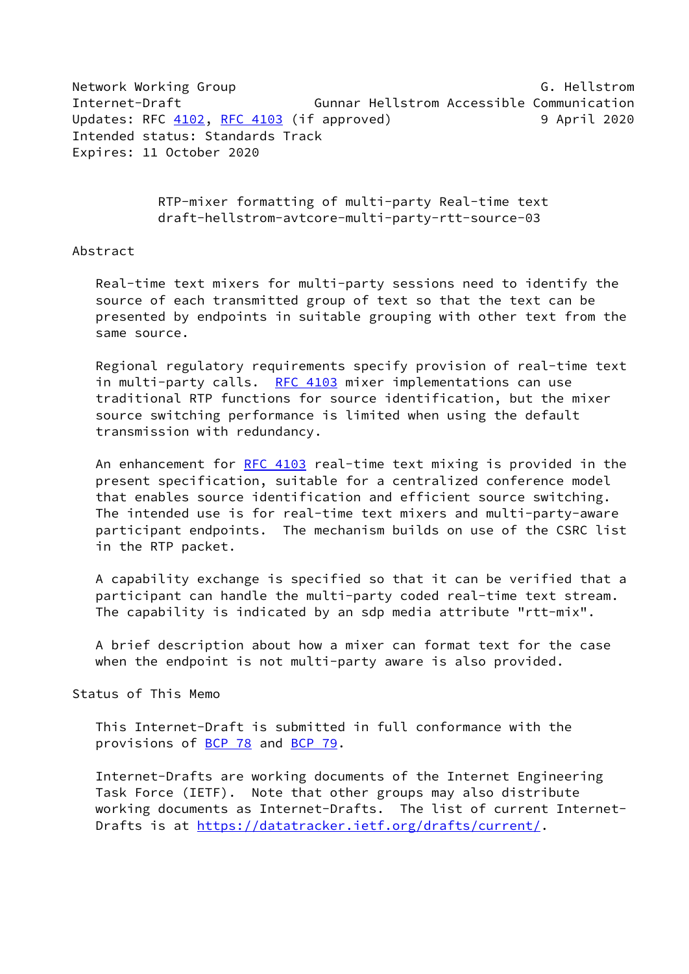Network Working Group G. Hellstrom G. Hellstrom G. Hellstrom G. Hellstrom G. Hellstrom G. Hellstrom G. Hellstrom Internet-Draft Gunnar Hellstrom Accessible Communication Updates: RFC [4102](https://datatracker.ietf.org/doc/pdf/rfc4102), [RFC 4103](https://datatracker.ietf.org/doc/pdf/rfc4103) (if approved) 9 April 2020 Intended status: Standards Track Expires: 11 October 2020

> RTP-mixer formatting of multi-party Real-time text draft-hellstrom-avtcore-multi-party-rtt-source-03

Abstract

 Real-time text mixers for multi-party sessions need to identify the source of each transmitted group of text so that the text can be presented by endpoints in suitable grouping with other text from the same source.

 Regional regulatory requirements specify provision of real-time text in multi-party calls. [RFC 4103](https://datatracker.ietf.org/doc/pdf/rfc4103) mixer implementations can use traditional RTP functions for source identification, but the mixer source switching performance is limited when using the default transmission with redundancy.

 An enhancement for [RFC 4103](https://datatracker.ietf.org/doc/pdf/rfc4103) real-time text mixing is provided in the present specification, suitable for a centralized conference model that enables source identification and efficient source switching. The intended use is for real-time text mixers and multi-party-aware participant endpoints. The mechanism builds on use of the CSRC list in the RTP packet.

 A capability exchange is specified so that it can be verified that a participant can handle the multi-party coded real-time text stream. The capability is indicated by an sdp media attribute "rtt-mix".

 A brief description about how a mixer can format text for the case when the endpoint is not multi-party aware is also provided.

Status of This Memo

 This Internet-Draft is submitted in full conformance with the provisions of [BCP 78](https://datatracker.ietf.org/doc/pdf/bcp78) and [BCP 79](https://datatracker.ietf.org/doc/pdf/bcp79).

 Internet-Drafts are working documents of the Internet Engineering Task Force (IETF). Note that other groups may also distribute working documents as Internet-Drafts. The list of current Internet- Drafts is at<https://datatracker.ietf.org/drafts/current/>.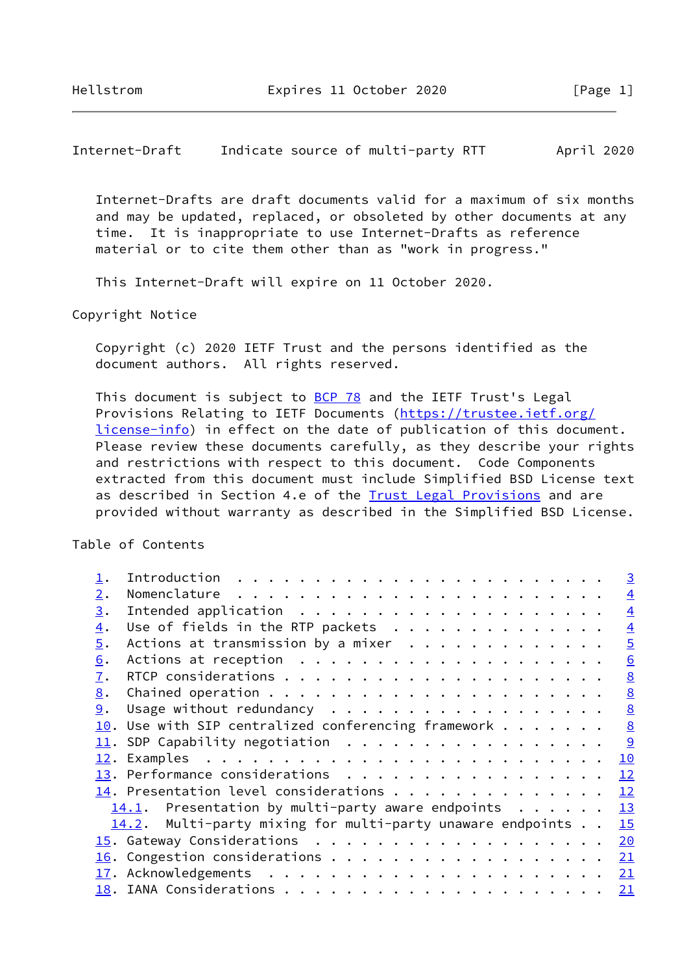Internet-Drafts are draft documents valid for a maximum of six months and may be updated, replaced, or obsoleted by other documents at any time. It is inappropriate to use Internet-Drafts as reference material or to cite them other than as "work in progress."

This Internet-Draft will expire on 11 October 2020.

Copyright Notice

 Copyright (c) 2020 IETF Trust and the persons identified as the document authors. All rights reserved.

This document is subject to [BCP 78](https://datatracker.ietf.org/doc/pdf/bcp78) and the IETF Trust's Legal Provisions Relating to IETF Documents ([https://trustee.ietf.org/](https://trustee.ietf.org/license-info) [license-info](https://trustee.ietf.org/license-info)) in effect on the date of publication of this document. Please review these documents carefully, as they describe your rights and restrictions with respect to this document. Code Components extracted from this document must include Simplified BSD License text as described in Section 4.e of the [Trust Legal Provisions](https://trustee.ietf.org/license-info) and are provided without warranty as described in the Simplified BSD License.

Table of Contents

|                  |  | $\overline{3}$                                                                                                                                                                                                                                                                                                                     |
|------------------|--|------------------------------------------------------------------------------------------------------------------------------------------------------------------------------------------------------------------------------------------------------------------------------------------------------------------------------------|
| 2.               |  | $\overline{4}$                                                                                                                                                                                                                                                                                                                     |
| 3.               |  | $\overline{4}$                                                                                                                                                                                                                                                                                                                     |
| $\overline{4}$ . |  | $\overline{4}$                                                                                                                                                                                                                                                                                                                     |
| 5.               |  | $\overline{5}$                                                                                                                                                                                                                                                                                                                     |
| 6.               |  | 6                                                                                                                                                                                                                                                                                                                                  |
| $\overline{1}$ . |  | $\underline{8}$                                                                                                                                                                                                                                                                                                                    |
| 8.               |  | 8                                                                                                                                                                                                                                                                                                                                  |
| 9.               |  | 8                                                                                                                                                                                                                                                                                                                                  |
| 10.              |  | 8                                                                                                                                                                                                                                                                                                                                  |
|                  |  | 9                                                                                                                                                                                                                                                                                                                                  |
|                  |  | 10                                                                                                                                                                                                                                                                                                                                 |
|                  |  | 12                                                                                                                                                                                                                                                                                                                                 |
|                  |  | 12                                                                                                                                                                                                                                                                                                                                 |
|                  |  | 13                                                                                                                                                                                                                                                                                                                                 |
|                  |  | 15                                                                                                                                                                                                                                                                                                                                 |
|                  |  | 20                                                                                                                                                                                                                                                                                                                                 |
|                  |  | 21                                                                                                                                                                                                                                                                                                                                 |
|                  |  | 21                                                                                                                                                                                                                                                                                                                                 |
|                  |  | 21                                                                                                                                                                                                                                                                                                                                 |
|                  |  | Use of fields in the RTP packets<br>Actions at transmission by a mixer<br>Use with SIP centralized conferencing framework $\dots$<br>13. Performance considerations<br>14. Presentation level considerations<br>$14.1$ . Presentation by multi-party aware endpoints<br>14.2. Multi-party mixing for multi-party unaware endpoints |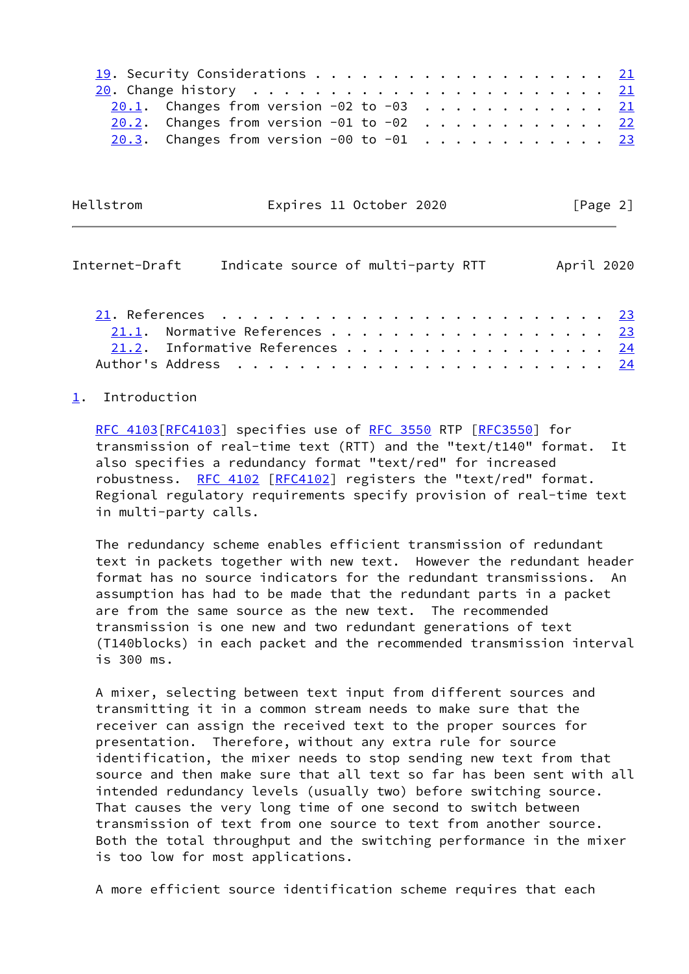| $20.1$ . Changes from version -02 to -03 21 |  |  |  |  |  |  |  |  |  |
|---------------------------------------------|--|--|--|--|--|--|--|--|--|
| $20.2$ . Changes from version -01 to -02 22 |  |  |  |  |  |  |  |  |  |
| $20.3$ . Changes from version -00 to -01 23 |  |  |  |  |  |  |  |  |  |

| Hellstrom | Expires 11 October 2020 | [Page 2] |
|-----------|-------------------------|----------|
|           |                         |          |

<span id="page-2-1"></span>

| 21.1. Normative References 23   |
|---------------------------------|
| 21.2. Informative References 24 |
|                                 |

# <span id="page-2-0"></span>[1](#page-2-0). Introduction

[RFC 4103\[RFC4103](https://datatracker.ietf.org/doc/pdf/rfc4103)] specifies use of [RFC 3550](https://datatracker.ietf.org/doc/pdf/rfc3550) RTP [\[RFC3550](https://datatracker.ietf.org/doc/pdf/rfc3550)] for transmission of real-time text (RTT) and the "text/t140" format. It also specifies a redundancy format "text/red" for increased robustness. [RFC 4102](https://datatracker.ietf.org/doc/pdf/rfc4102) [[RFC4102](https://datatracker.ietf.org/doc/pdf/rfc4102)] registers the "text/red" format. Regional regulatory requirements specify provision of real-time text in multi-party calls.

 The redundancy scheme enables efficient transmission of redundant text in packets together with new text. However the redundant header format has no source indicators for the redundant transmissions. An assumption has had to be made that the redundant parts in a packet are from the same source as the new text. The recommended transmission is one new and two redundant generations of text (T140blocks) in each packet and the recommended transmission interval is 300 ms.

 A mixer, selecting between text input from different sources and transmitting it in a common stream needs to make sure that the receiver can assign the received text to the proper sources for presentation. Therefore, without any extra rule for source identification, the mixer needs to stop sending new text from that source and then make sure that all text so far has been sent with all intended redundancy levels (usually two) before switching source. That causes the very long time of one second to switch between transmission of text from one source to text from another source. Both the total throughput and the switching performance in the mixer is too low for most applications.

A more efficient source identification scheme requires that each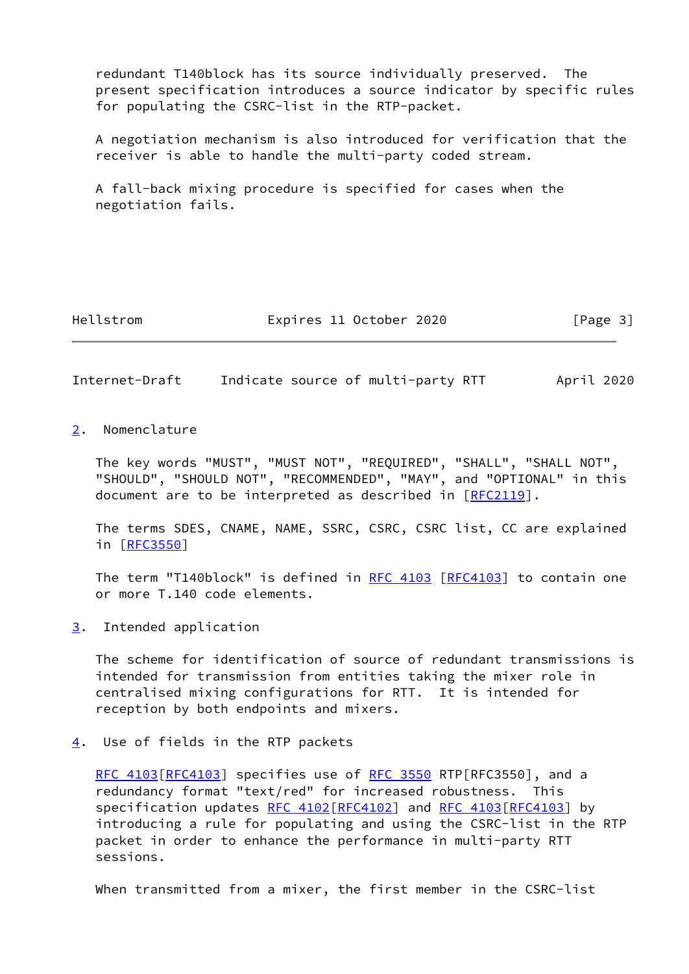redundant T140block has its source individually preserved. The present specification introduces a source indicator by specific rules for populating the CSRC-list in the RTP-packet.

 A negotiation mechanism is also introduced for verification that the receiver is able to handle the multi-party coded stream.

 A fall-back mixing procedure is specified for cases when the negotiation fails.

Hellstrom **Expires 11 October 2020** [Page 3]

<span id="page-3-1"></span>Internet-Draft Indicate source of multi-party RTT April 2020

<span id="page-3-0"></span>[2](#page-3-0). Nomenclature

 The key words "MUST", "MUST NOT", "REQUIRED", "SHALL", "SHALL NOT", "SHOULD", "SHOULD NOT", "RECOMMENDED", "MAY", and "OPTIONAL" in this document are to be interpreted as described in [\[RFC2119](https://datatracker.ietf.org/doc/pdf/rfc2119)].

 The terms SDES, CNAME, NAME, SSRC, CSRC, CSRC list, CC are explained in [[RFC3550\]](https://datatracker.ietf.org/doc/pdf/rfc3550)

The term "T140block" is defined in [RFC 4103 \[RFC4103](https://datatracker.ietf.org/doc/pdf/rfc4103)] to contain one or more T.140 code elements.

<span id="page-3-2"></span>[3](#page-3-2). Intended application

 The scheme for identification of source of redundant transmissions is intended for transmission from entities taking the mixer role in centralised mixing configurations for RTT. It is intended for reception by both endpoints and mixers.

<span id="page-3-3"></span>[4](#page-3-3). Use of fields in the RTP packets

[RFC 4103\[RFC4103](https://datatracker.ietf.org/doc/pdf/rfc4103)] specifies use of [RFC 3550](https://datatracker.ietf.org/doc/pdf/rfc3550) RTP[RFC3550], and a redundancy format "text/red" for increased robustness. This specification updates [RFC 4102](https://datatracker.ietf.org/doc/pdf/rfc4102)[[RFC4102](https://datatracker.ietf.org/doc/pdf/rfc4102)] and [RFC 4103\[RFC4103](https://datatracker.ietf.org/doc/pdf/rfc4103)] by introducing a rule for populating and using the CSRC-list in the RTP packet in order to enhance the performance in multi-party RTT sessions.

When transmitted from a mixer, the first member in the CSRC-list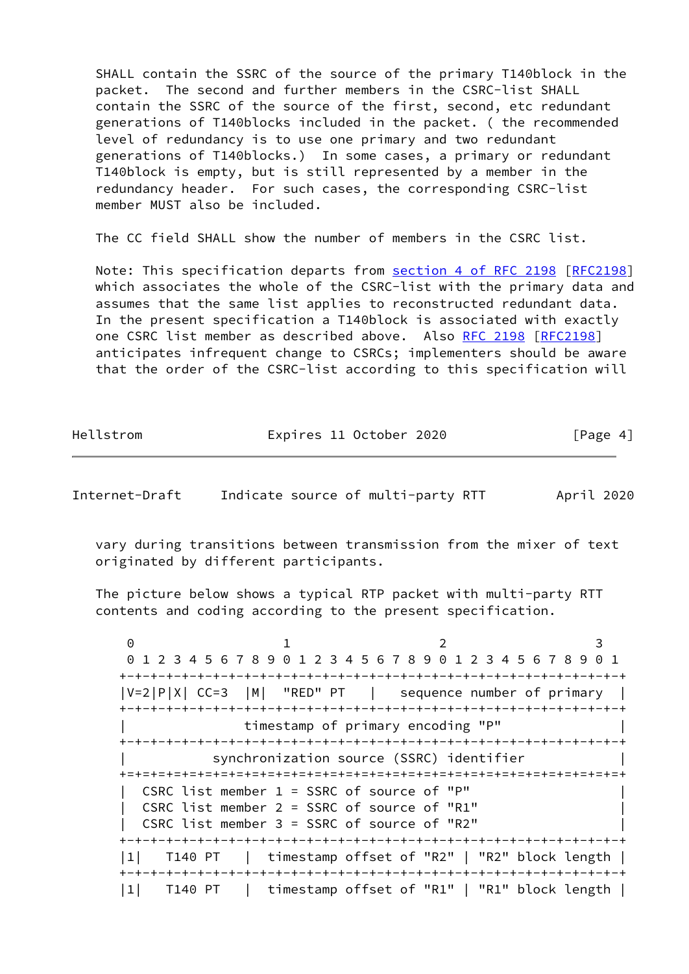SHALL contain the SSRC of the source of the primary T140block in the packet. The second and further members in the CSRC-list SHALL contain the SSRC of the source of the first, second, etc redundant generations of T140blocks included in the packet. ( the recommended level of redundancy is to use one primary and two redundant generations of T140blocks.) In some cases, a primary or redundant T140block is empty, but is still represented by a member in the redundancy header. For such cases, the corresponding CSRC-list member MUST also be included.

The CC field SHALL show the number of members in the CSRC list.

Note: This specification departs from section [4 of RFC 2198](https://datatracker.ietf.org/doc/pdf/rfc2198#section-4) [\[RFC2198](https://datatracker.ietf.org/doc/pdf/rfc2198)] which associates the whole of the CSRC-list with the primary data and assumes that the same list applies to reconstructed redundant data. In the present specification a T140block is associated with exactly one CSRC list member as described above. Also [RFC 2198 \[RFC2198](https://datatracker.ietf.org/doc/pdf/rfc2198)] anticipates infrequent change to CSRCs; implementers should be aware that the order of the CSRC-list according to this specification will

| Expires 11 October 2020<br>Hellstrom | [Page 4] |
|--------------------------------------|----------|
|--------------------------------------|----------|

<span id="page-4-0"></span>

|  | Internet-Draft |  |  |  | Indicate source of multi-party RTT |  | April 2020 |
|--|----------------|--|--|--|------------------------------------|--|------------|
|--|----------------|--|--|--|------------------------------------|--|------------|

 vary during transitions between transmission from the mixer of text originated by different participants.

 The picture below shows a typical RTP packet with multi-party RTT contents and coding according to the present specification.

0 1 2 3 0 1 2 3 4 5 6 7 8 9 0 1 2 3 4 5 6 7 8 9 0 1 2 3 4 5 6 7 8 9 0 1 +-+-+-+-+-+-+-+-+-+-+-+-+-+-+-+-+-+-+-+-+-+-+-+-+-+-+-+-+-+-+-+-+ |V=2|P|X| CC=3 |M| "RED" PT | sequence number of primary | +-+-+-+-+-+-+-+-+-+-+-+-+-+-+-+-+-+-+-+-+-+-+-+-+-+-+-+-+-+-+-+-+ | timestamp of primary encoding "P" | +-+-+-+-+-+-+-+-+-+-+-+-+-+-+-+-+-+-+-+-+-+-+-+-+-+-+-+-+-+-+-+-+ synchronization source (SSRC) identifier +=+=+=+=+=+=+=+=+=+=+=+=+=+=+=+=+=+=+=+=+=+=+=+=+=+=+=+=+=+=+=+=+  $CSRC$  list member  $1 = SSRC$  of source of "P"  $|$  $CSRC$  list member  $2 = SSRC$  of source of "R1"  $CSRC$  list member  $3 = SSRC$  of source of "R2" +-+-+-+-+-+-+-+-+-+-+-+-+-+-+-+-+-+-+-+-+-+-+-+-+-+-+-+-+-+-+-+-+ |1| T140 PT | timestamp offset of "R2" | "R2" block length | +-+-+-+-+-+-+-+-+-+-+-+-+-+-+-+-+-+-+-+-+-+-+-+-+-+-+-+-+-+-+-+-+ |1| T140 PT | timestamp offset of "R1" | "R1" block length |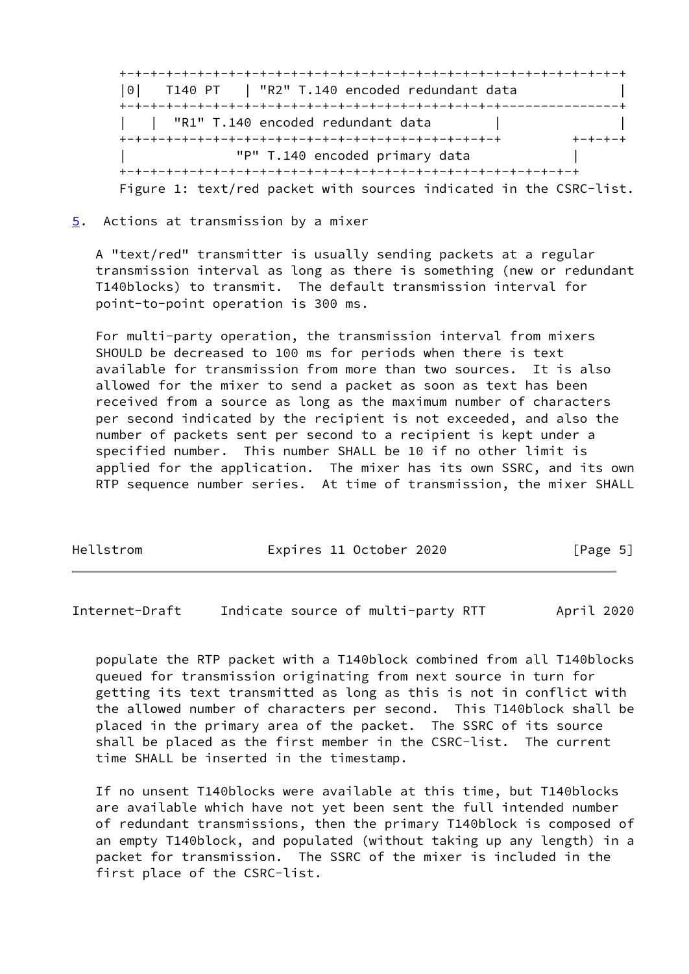+-+-+-+-+-+-+-+-+-+-+-+-+-+-+-+-+-+-+-+-+-+-+-+-+-+-+-+-+-+-+-+-+ |0| T140 PT | "R2" T.140 encoded redundant data | +-+-+-+-+-+-+-+-+-+-+-+-+-+-+-+-+-+-+-+-+-+-+-+-+---------------+ | "R1" T.140 encoded redundant data | +-+-+-+-+-+-+-+-+-+-+-+-+-+-+-+-+-+-+-+-+-+-+-+-+ +-+-+-+ "P" T.140 encoded primary data +-+-+-+-+-+-+-+-+-+-+-+-+-+-+-+-+-+-+-+-+-+-+-+-+-+-+-+-+-+ Figure 1: text/red packet with sources indicated in the CSRC-list.

<span id="page-5-0"></span>[5](#page-5-0). Actions at transmission by a mixer

 A "text/red" transmitter is usually sending packets at a regular transmission interval as long as there is something (new or redundant T140blocks) to transmit. The default transmission interval for point-to-point operation is 300 ms.

 For multi-party operation, the transmission interval from mixers SHOULD be decreased to 100 ms for periods when there is text available for transmission from more than two sources. It is also allowed for the mixer to send a packet as soon as text has been received from a source as long as the maximum number of characters per second indicated by the recipient is not exceeded, and also the number of packets sent per second to a recipient is kept under a specified number. This number SHALL be 10 if no other limit is applied for the application. The mixer has its own SSRC, and its own RTP sequence number series. At time of transmission, the mixer SHALL

| Hellstrom | Expires 11 October 2020 | [Page 5] |
|-----------|-------------------------|----------|
|           |                         |          |

<span id="page-5-1"></span>Internet-Draft Indicate source of multi-party RTT April 2020

 populate the RTP packet with a T140block combined from all T140blocks queued for transmission originating from next source in turn for getting its text transmitted as long as this is not in conflict with the allowed number of characters per second. This T140block shall be placed in the primary area of the packet. The SSRC of its source shall be placed as the first member in the CSRC-list. The current time SHALL be inserted in the timestamp.

 If no unsent T140blocks were available at this time, but T140blocks are available which have not yet been sent the full intended number of redundant transmissions, then the primary T140block is composed of an empty T140block, and populated (without taking up any length) in a packet for transmission. The SSRC of the mixer is included in the first place of the CSRC-list.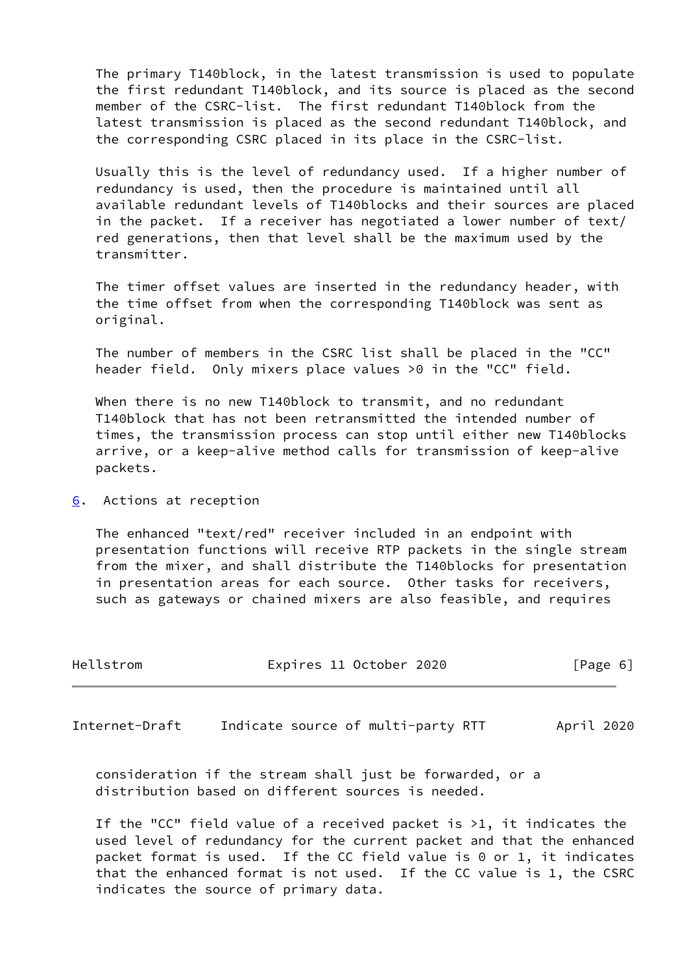The primary T140block, in the latest transmission is used to populate the first redundant T140block, and its source is placed as the second member of the CSRC-list. The first redundant T140block from the latest transmission is placed as the second redundant T140block, and the corresponding CSRC placed in its place in the CSRC-list.

 Usually this is the level of redundancy used. If a higher number of redundancy is used, then the procedure is maintained until all available redundant levels of T140blocks and their sources are placed in the packet. If a receiver has negotiated a lower number of text/ red generations, then that level shall be the maximum used by the transmitter.

 The timer offset values are inserted in the redundancy header, with the time offset from when the corresponding T140block was sent as original.

 The number of members in the CSRC list shall be placed in the "CC" header field. Only mixers place values >0 in the "CC" field.

 When there is no new T140block to transmit, and no redundant T140block that has not been retransmitted the intended number of times, the transmission process can stop until either new T140blocks arrive, or a keep-alive method calls for transmission of keep-alive packets.

<span id="page-6-0"></span>[6](#page-6-0). Actions at reception

 The enhanced "text/red" receiver included in an endpoint with presentation functions will receive RTP packets in the single stream from the mixer, and shall distribute the T140blocks for presentation in presentation areas for each source. Other tasks for receivers, such as gateways or chained mixers are also feasible, and requires

| Hellstrom | Expires 11 October 2020 | [Page 6] |  |
|-----------|-------------------------|----------|--|
|           |                         |          |  |

Internet-Draft Indicate source of multi-party RTT April 2020

 consideration if the stream shall just be forwarded, or a distribution based on different sources is needed.

 If the "CC" field value of a received packet is >1, it indicates the used level of redundancy for the current packet and that the enhanced packet format is used. If the CC field value is 0 or 1, it indicates that the enhanced format is not used. If the CC value is 1, the CSRC indicates the source of primary data.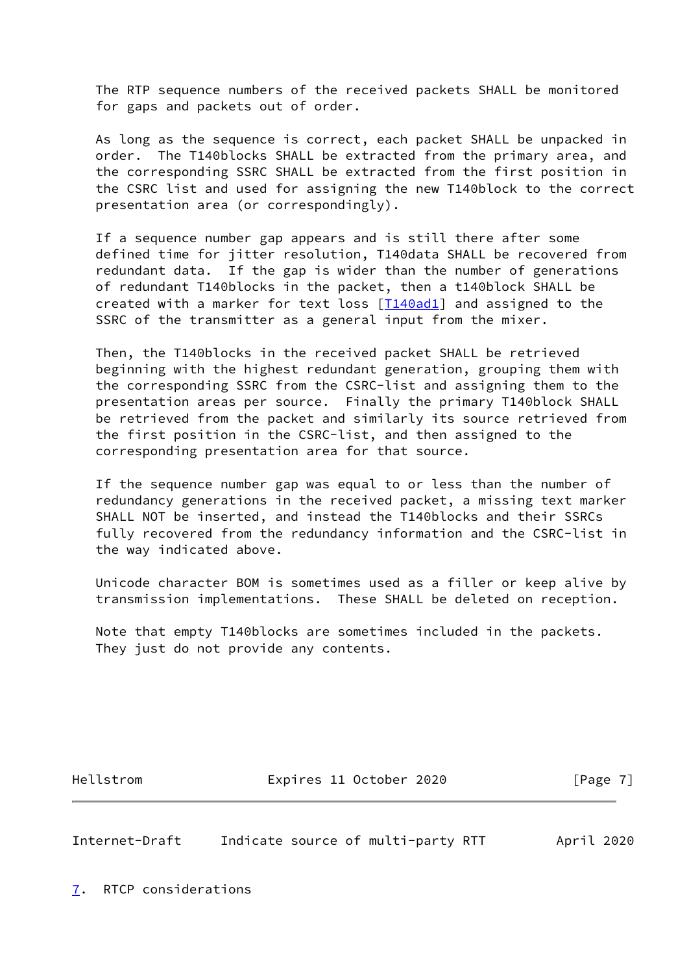The RTP sequence numbers of the received packets SHALL be monitored for gaps and packets out of order.

 As long as the sequence is correct, each packet SHALL be unpacked in order. The T140blocks SHALL be extracted from the primary area, and the corresponding SSRC SHALL be extracted from the first position in the CSRC list and used for assigning the new T140block to the correct presentation area (or correspondingly).

 If a sequence number gap appears and is still there after some defined time for jitter resolution, T140data SHALL be recovered from redundant data. If the gap is wider than the number of generations of redundant T140blocks in the packet, then a t140block SHALL be created with a marker for text loss  $[T140ad1]$  $[T140ad1]$  and assigned to the SSRC of the transmitter as a general input from the mixer.

 Then, the T140blocks in the received packet SHALL be retrieved beginning with the highest redundant generation, grouping them with the corresponding SSRC from the CSRC-list and assigning them to the presentation areas per source. Finally the primary T140block SHALL be retrieved from the packet and similarly its source retrieved from the first position in the CSRC-list, and then assigned to the corresponding presentation area for that source.

 If the sequence number gap was equal to or less than the number of redundancy generations in the received packet, a missing text marker SHALL NOT be inserted, and instead the T140blocks and their SSRCs fully recovered from the redundancy information and the CSRC-list in the way indicated above.

 Unicode character BOM is sometimes used as a filler or keep alive by transmission implementations. These SHALL be deleted on reception.

 Note that empty T140blocks are sometimes included in the packets. They just do not provide any contents.

Hellstrom **Expires 11 October 2020** [Page 7]

<span id="page-7-1"></span><span id="page-7-0"></span>Internet-Draft Indicate source of multi-party RTT April 2020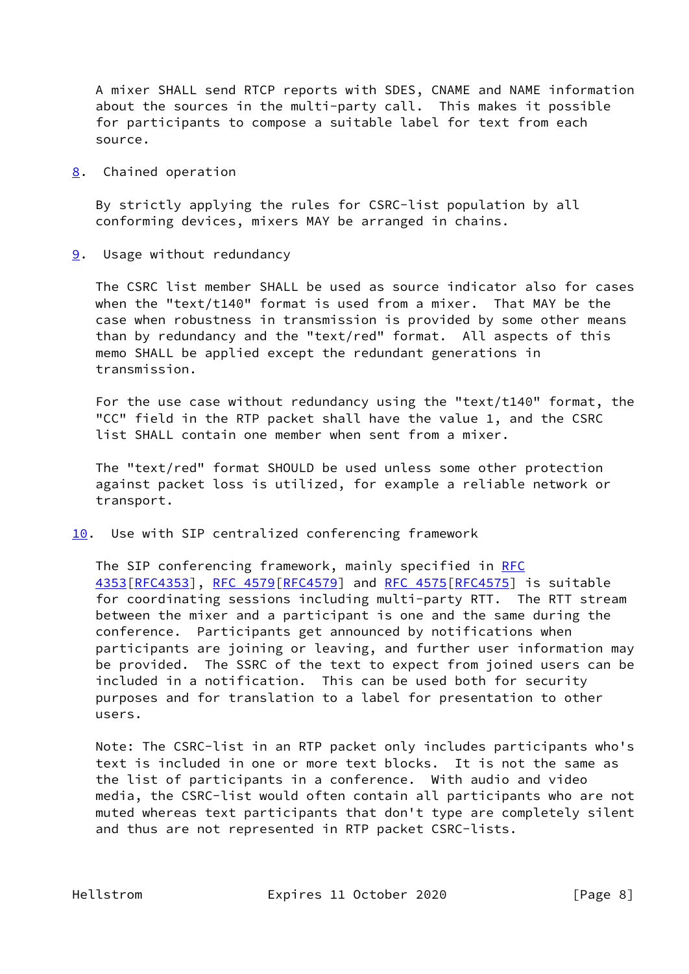A mixer SHALL send RTCP reports with SDES, CNAME and NAME information about the sources in the multi-party call. This makes it possible for participants to compose a suitable label for text from each source.

<span id="page-8-0"></span>[8](#page-8-0). Chained operation

 By strictly applying the rules for CSRC-list population by all conforming devices, mixers MAY be arranged in chains.

<span id="page-8-1"></span>[9](#page-8-1). Usage without redundancy

 The CSRC list member SHALL be used as source indicator also for cases when the "text/t140" format is used from a mixer. That MAY be the case when robustness in transmission is provided by some other means than by redundancy and the "text/red" format. All aspects of this memo SHALL be applied except the redundant generations in transmission.

 For the use case without redundancy using the "text/t140" format, the "CC" field in the RTP packet shall have the value 1, and the CSRC list SHALL contain one member when sent from a mixer.

 The "text/red" format SHOULD be used unless some other protection against packet loss is utilized, for example a reliable network or transport.

<span id="page-8-2"></span>[10.](#page-8-2) Use with SIP centralized conferencing framework

The SIP conferencing framework, mainly specified in [RFC](https://datatracker.ietf.org/doc/pdf/rfc4353) [4353\[RFC4353](https://datatracker.ietf.org/doc/pdf/rfc4353)], [RFC 4579\[RFC4579](https://datatracker.ietf.org/doc/pdf/rfc4579)] and [RFC 4575\[RFC4575](https://datatracker.ietf.org/doc/pdf/rfc4575)] is suitable for coordinating sessions including multi-party RTT. The RTT stream between the mixer and a participant is one and the same during the conference. Participants get announced by notifications when participants are joining or leaving, and further user information may be provided. The SSRC of the text to expect from joined users can be included in a notification. This can be used both for security purposes and for translation to a label for presentation to other users.

 Note: The CSRC-list in an RTP packet only includes participants who's text is included in one or more text blocks. It is not the same as the list of participants in a conference. With audio and video media, the CSRC-list would often contain all participants who are not muted whereas text participants that don't type are completely silent and thus are not represented in RTP packet CSRC-lists.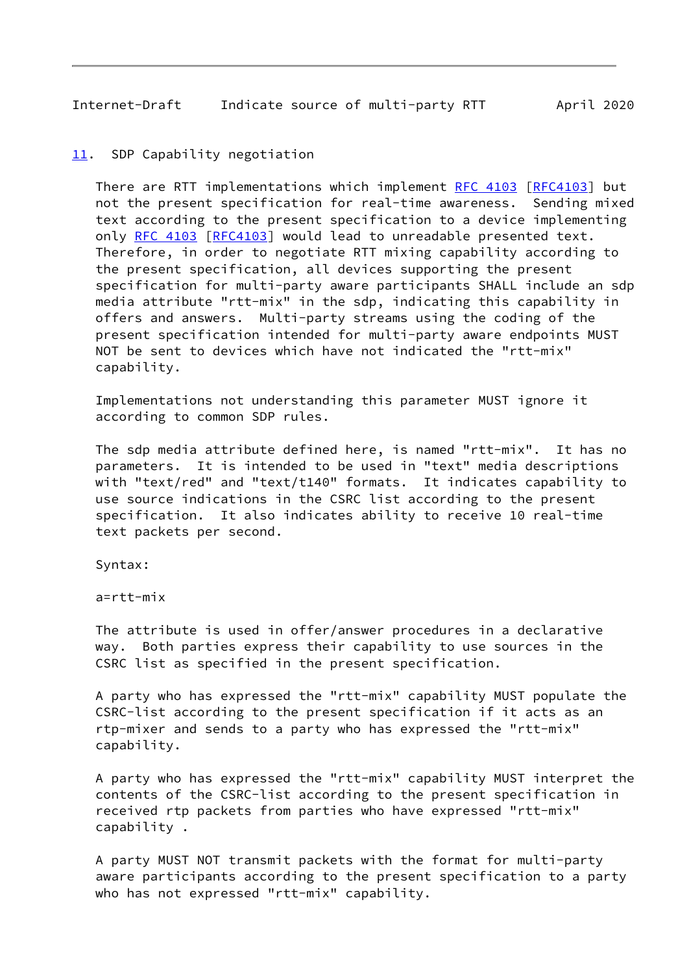## <span id="page-9-1"></span><span id="page-9-0"></span>[11.](#page-9-0) SDP Capability negotiation

 There are RTT implementations which implement [RFC 4103](https://datatracker.ietf.org/doc/pdf/rfc4103) [\[RFC4103](https://datatracker.ietf.org/doc/pdf/rfc4103)] but not the present specification for real-time awareness. Sending mixed text according to the present specification to a device implementing only [RFC 4103](https://datatracker.ietf.org/doc/pdf/rfc4103) [[RFC4103](https://datatracker.ietf.org/doc/pdf/rfc4103)] would lead to unreadable presented text. Therefore, in order to negotiate RTT mixing capability according to the present specification, all devices supporting the present specification for multi-party aware participants SHALL include an sdp media attribute "rtt-mix" in the sdp, indicating this capability in offers and answers. Multi-party streams using the coding of the present specification intended for multi-party aware endpoints MUST NOT be sent to devices which have not indicated the "rtt-mix" capability.

 Implementations not understanding this parameter MUST ignore it according to common SDP rules.

 The sdp media attribute defined here, is named "rtt-mix". It has no parameters. It is intended to be used in "text" media descriptions with "text/red" and "text/t140" formats. It indicates capability to use source indications in the CSRC list according to the present specification. It also indicates ability to receive 10 real-time text packets per second.

Syntax:

a=rtt-mix

 The attribute is used in offer/answer procedures in a declarative way. Both parties express their capability to use sources in the CSRC list as specified in the present specification.

 A party who has expressed the "rtt-mix" capability MUST populate the CSRC-list according to the present specification if it acts as an rtp-mixer and sends to a party who has expressed the "rtt-mix" capability.

 A party who has expressed the "rtt-mix" capability MUST interpret the contents of the CSRC-list according to the present specification in received rtp packets from parties who have expressed "rtt-mix" capability .

 A party MUST NOT transmit packets with the format for multi-party aware participants according to the present specification to a party who has not expressed "rtt-mix" capability.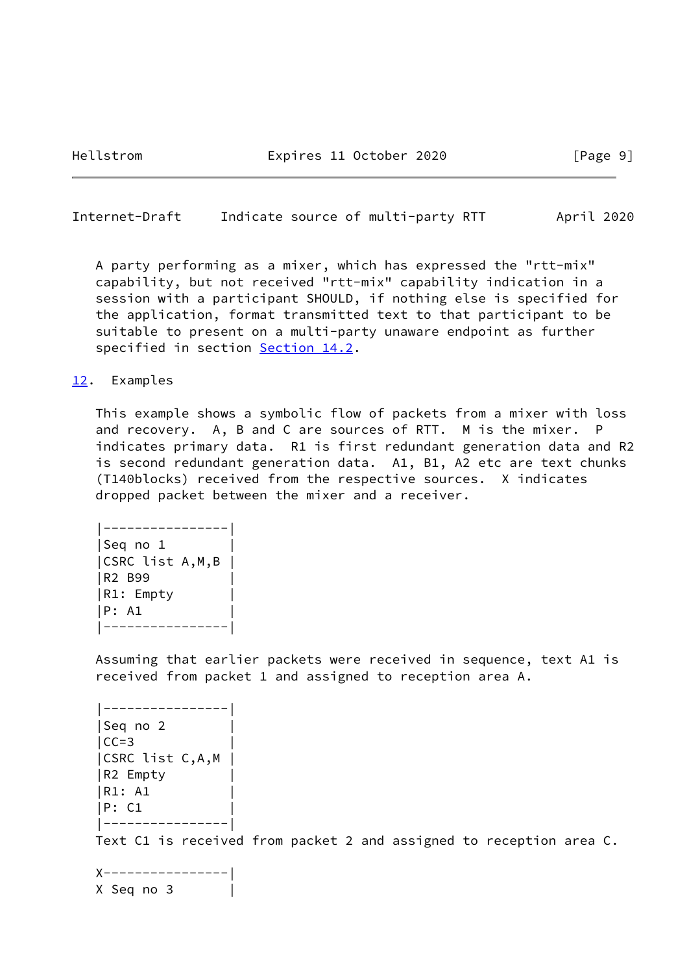<span id="page-10-1"></span> A party performing as a mixer, which has expressed the "rtt-mix" capability, but not received "rtt-mix" capability indication in a session with a participant SHOULD, if nothing else is specified for the application, format transmitted text to that participant to be suitable to present on a multi-party unaware endpoint as further specified in section [Section 14.2](#page-16-0).

<span id="page-10-0"></span>[12.](#page-10-0) Examples

 This example shows a symbolic flow of packets from a mixer with loss and recovery. A, B and C are sources of RTT. M is the mixer. P indicates primary data. R1 is first redundant generation data and R2 is second redundant generation data. A1, B1, A2 etc are text chunks (T140blocks) received from the respective sources. X indicates dropped packet between the mixer and a receiver.

 |----------------| |Seq no 1 | |CSRC list A,M,B | |R2 B99 | |R1: Empty | |P: A1 | |----------------|

 Assuming that earlier packets were received in sequence, text A1 is received from packet 1 and assigned to reception area A.

 |----------------| |Seq no 2 | |CC=3 | |CSRC list C,A,M | |R2 Empty | |R1: A1 | |P: C1 | |----------------|

Text C1 is received from packet 2 and assigned to reception area C.

 X----------------| X Seq no 3 |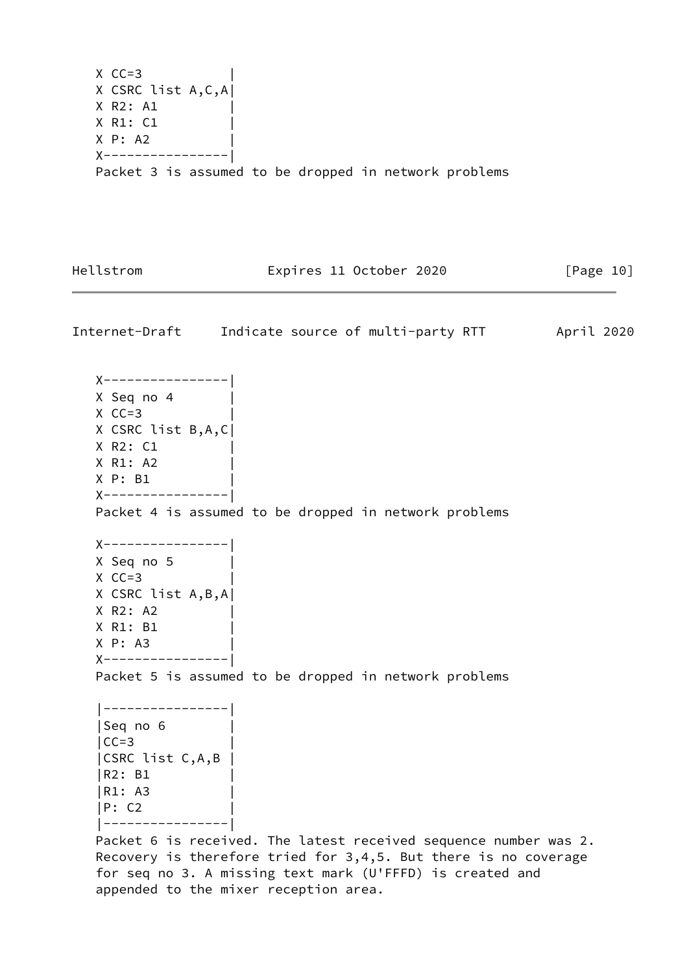```
X CC=3
X CSRC list A,C,A|
X R2: A1 |
X R1: C1 |
X P: A2 |
X----------------|
Packet 3 is assumed to be dropped in network problems
```
Internet-Draft Indicate source of multi-party RTT April 2020 X----------------| X Seq no 4 |  $X$  CC=3  $|$  X CSRC list B,A,C| X R2: C1 | X R1: A2 | X P: B1 | X----------------| Packet 4 is assumed to be dropped in network problems X----------------| X Seq no 5 |  $X$  CC=3  $|$  X CSRC list A,B,A| X R2: A2 | X R1: B1 | X P: A3 | X----------------| Packet 5 is assumed to be dropped in network problems |----------------| |Seq no 6 |  $|CC=3$  |CSRC list C,A,B | |R2: B1 | |R1: A3 | |P: C2 | |----------------| Packet 6 is received. The latest received sequence number was 2. Recovery is therefore tried for 3,4,5. But there is no coverage for seq no 3. A missing text mark (U'FFFD) is created and appended to the mixer reception area.

Hellstrom **Expires 11 October 2020** [Page 10]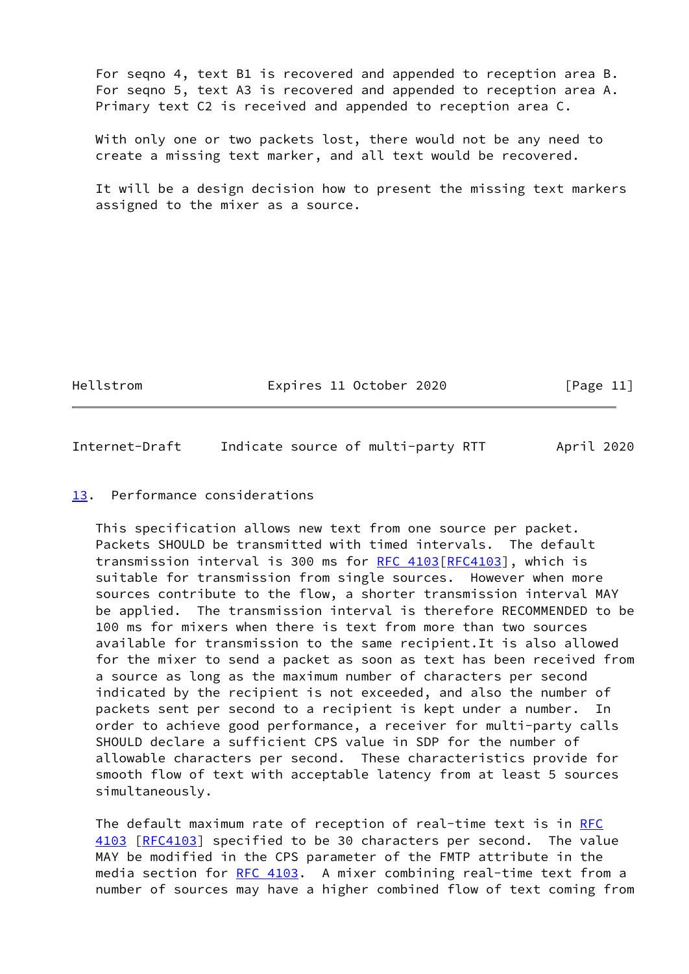For seqno 4, text B1 is recovered and appended to reception area B. For seqno 5, text A3 is recovered and appended to reception area A. Primary text C2 is received and appended to reception area C.

 With only one or two packets lost, there would not be any need to create a missing text marker, and all text would be recovered.

 It will be a design decision how to present the missing text markers assigned to the mixer as a source.

Hellstrom Expires 11 October 2020 [Page 11]

<span id="page-12-1"></span>Internet-Draft Indicate source of multi-party RTT April 2020

## <span id="page-12-0"></span>[13.](#page-12-0) Performance considerations

 This specification allows new text from one source per packet. Packets SHOULD be transmitted with timed intervals. The default transmission interval is 300 ms for RFC 4103 [RFC4103], which is suitable for transmission from single sources. However when more sources contribute to the flow, a shorter transmission interval MAY be applied. The transmission interval is therefore RECOMMENDED to be 100 ms for mixers when there is text from more than two sources available for transmission to the same recipient.It is also allowed for the mixer to send a packet as soon as text has been received from a source as long as the maximum number of characters per second indicated by the recipient is not exceeded, and also the number of packets sent per second to a recipient is kept under a number. In order to achieve good performance, a receiver for multi-party calls SHOULD declare a sufficient CPS value in SDP for the number of allowable characters per second. These characteristics provide for smooth flow of text with acceptable latency from at least 5 sources simultaneously.

The default maximum rate of reception of real-time text is in [RFC](https://datatracker.ietf.org/doc/pdf/rfc4103) [4103](https://datatracker.ietf.org/doc/pdf/rfc4103) [\[RFC4103](https://datatracker.ietf.org/doc/pdf/rfc4103)] specified to be 30 characters per second. The value MAY be modified in the CPS parameter of the FMTP attribute in the media section for [RFC 4103](https://datatracker.ietf.org/doc/pdf/rfc4103). A mixer combining real-time text from a number of sources may have a higher combined flow of text coming from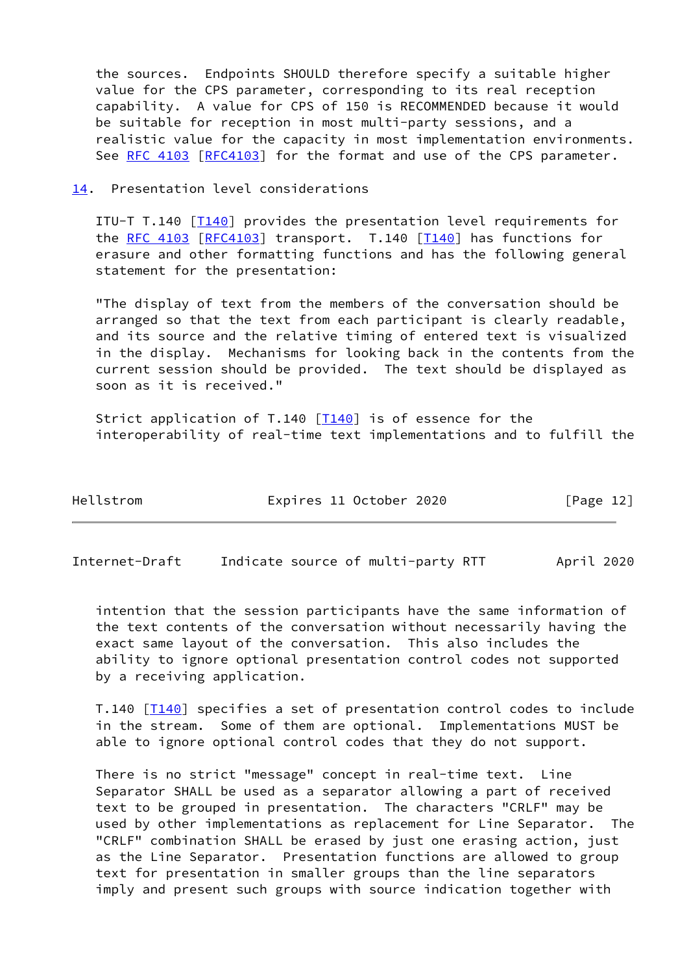the sources. Endpoints SHOULD therefore specify a suitable higher value for the CPS parameter, corresponding to its real reception capability. A value for CPS of 150 is RECOMMENDED because it would be suitable for reception in most multi-party sessions, and a realistic value for the capacity in most implementation environments. See [RFC 4103 \[RFC4103](https://datatracker.ietf.org/doc/pdf/rfc4103)] for the format and use of the CPS parameter.

## <span id="page-13-0"></span>[14.](#page-13-0) Presentation level considerations

ITU-T T.140 [\[T140](#page-25-3)] provides the presentation level requirements for the RFC 4103  $[REC4103]$  transport. T.140  $[140]$  has functions for erasure and other formatting functions and has the following general statement for the presentation:

 "The display of text from the members of the conversation should be arranged so that the text from each participant is clearly readable, and its source and the relative timing of entered text is visualized in the display. Mechanisms for looking back in the contents from the current session should be provided. The text should be displayed as soon as it is received."

Strict application of T.140  $[T140]$  $[T140]$  is of essence for the interoperability of real-time text implementations and to fulfill the

| Hellstrom | Expires 11 October 2020 | [Page 12] |
|-----------|-------------------------|-----------|
|-----------|-------------------------|-----------|

<span id="page-13-1"></span>Internet-Draft Indicate source of multi-party RTT April 2020

 intention that the session participants have the same information of the text contents of the conversation without necessarily having the exact same layout of the conversation. This also includes the ability to ignore optional presentation control codes not supported by a receiving application.

T.140 [[T140\]](#page-25-3) specifies a set of presentation control codes to include in the stream. Some of them are optional. Implementations MUST be able to ignore optional control codes that they do not support.

 There is no strict "message" concept in real-time text. Line Separator SHALL be used as a separator allowing a part of received text to be grouped in presentation. The characters "CRLF" may be used by other implementations as replacement for Line Separator. The "CRLF" combination SHALL be erased by just one erasing action, just as the Line Separator. Presentation functions are allowed to group text for presentation in smaller groups than the line separators imply and present such groups with source indication together with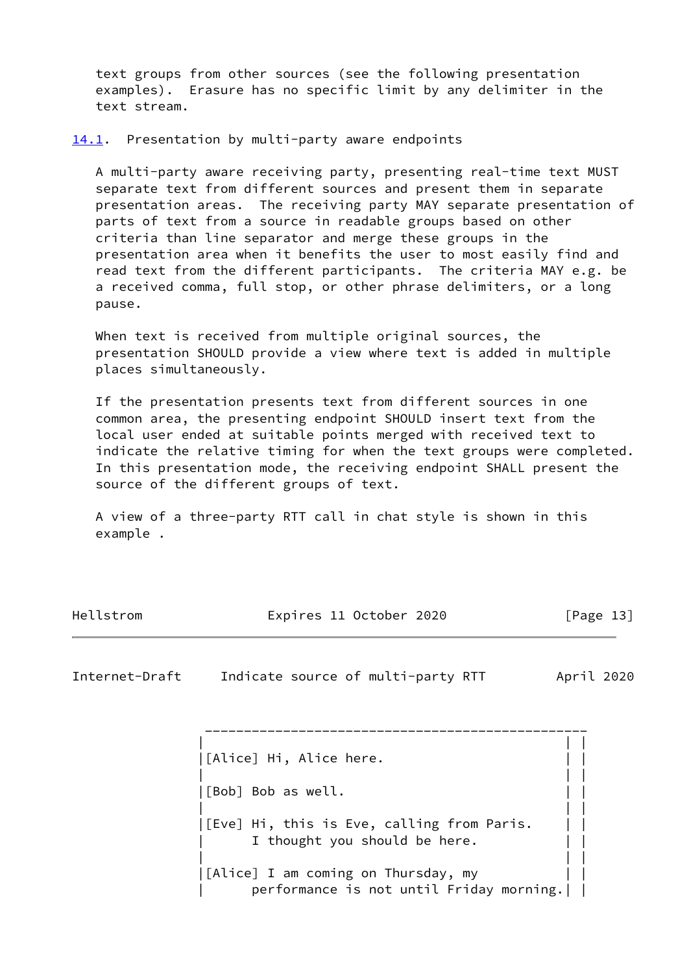text groups from other sources (see the following presentation examples). Erasure has no specific limit by any delimiter in the text stream.

<span id="page-14-0"></span>[14.1](#page-14-0). Presentation by multi-party aware endpoints

 A multi-party aware receiving party, presenting real-time text MUST separate text from different sources and present them in separate presentation areas. The receiving party MAY separate presentation of parts of text from a source in readable groups based on other criteria than line separator and merge these groups in the presentation area when it benefits the user to most easily find and read text from the different participants. The criteria MAY e.g. be a received comma, full stop, or other phrase delimiters, or a long pause.

 When text is received from multiple original sources, the presentation SHOULD provide a view where text is added in multiple places simultaneously.

 If the presentation presents text from different sources in one common area, the presenting endpoint SHOULD insert text from the local user ended at suitable points merged with received text to indicate the relative timing for when the text groups were completed. In this presentation mode, the receiving endpoint SHALL present the source of the different groups of text.

 A view of a three-party RTT call in chat style is shown in this example .

| Hellstrom | Expires 11 October 2020 | [Page 13] |
|-----------|-------------------------|-----------|
|           |                         |           |

Internet-Draft Indicate source of multi-party RTT April 2020

\_\_\_\_\_\_\_\_\_\_\_\_\_ | | | [Alice] Hi, Alice here. | | |  $|[Bob]$  Bob as well. | | |  $|[Eve]$  Hi, this is Eve, calling from Paris. I thought you should be here.  $||$  | | | |[Alice] I am coming on Thursday, my | | | performance is not until Friday morning.| |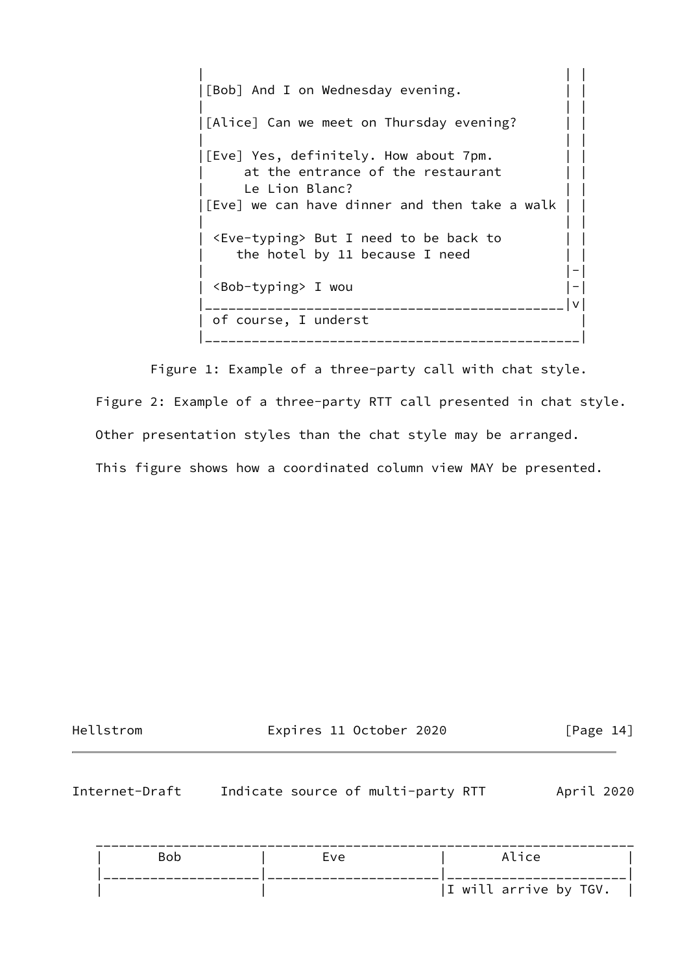| | |  $|[Bob]$  And I on Wednesday evening. | | | [Alice] Can we meet on Thursday evening? | | | |[Eve] Yes, definitely. How about 7pm. | | at the entrance of the restaurant  $|| \cdot ||$ Le Lion Blanc? |[Eve] we can have dinner and then take a walk | | | | | | <Eve-typing> But I need to be back to | | the hotel by 11 because I need | | | |-| | <Bob-typing> I wou |-| |\_\_\_\_\_\_\_\_\_\_\_\_\_\_\_\_\_\_\_\_\_\_\_\_\_\_\_\_\_\_\_\_\_\_\_\_\_\_\_\_\_\_\_\_\_\_|v| | of course, I underst | |\_\_\_\_\_\_\_\_\_\_\_\_\_\_\_\_\_\_\_\_\_\_\_\_\_\_\_\_\_\_\_\_\_\_\_\_\_\_\_\_\_\_\_\_\_\_\_\_|

Figure 1: Example of a three-party call with chat style.

 Figure 2: Example of a three-party RTT call presented in chat style. Other presentation styles than the chat style may be arranged. This figure shows how a coordinated column view MAY be presented.

Hellstrom **Expires 11 October 2020** [Page 14]

<span id="page-15-0"></span>Internet-Draft Indicate source of multi-party RTT April 2020

| <b>Bob</b> | Eve | Alice                 |  |
|------------|-----|-----------------------|--|
|            |     |                       |  |
|            |     | I will arrive by TGV. |  |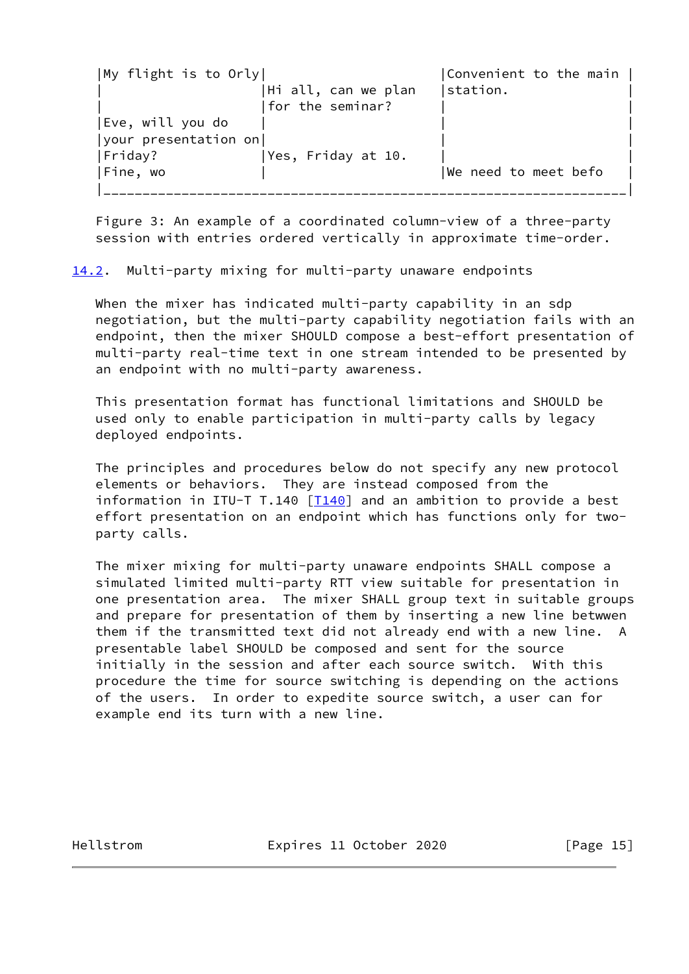| My flight is to Orly |                     | Convenient to the main |
|----------------------|---------------------|------------------------|
|                      | Hi all, can we plan | station.               |
|                      | for the seminar?    |                        |
| Eve, will you do     |                     |                        |
| your presentation on |                     |                        |
| Friday?              | Yes, Friday at 10.  |                        |
| Fine, wo             |                     | We need to meet befo   |

 Figure 3: An example of a coordinated column-view of a three-party session with entries ordered vertically in approximate time-order.

<span id="page-16-0"></span>[14.2](#page-16-0). Multi-party mixing for multi-party unaware endpoints

 When the mixer has indicated multi-party capability in an sdp negotiation, but the multi-party capability negotiation fails with an endpoint, then the mixer SHOULD compose a best-effort presentation of multi-party real-time text in one stream intended to be presented by an endpoint with no multi-party awareness.

 This presentation format has functional limitations and SHOULD be used only to enable participation in multi-party calls by legacy deployed endpoints.

 The principles and procedures below do not specify any new protocol elements or behaviors. They are instead composed from the information in ITU-T T.140  $[T140]$  $[T140]$  and an ambition to provide a best effort presentation on an endpoint which has functions only for two party calls.

 The mixer mixing for multi-party unaware endpoints SHALL compose a simulated limited multi-party RTT view suitable for presentation in one presentation area. The mixer SHALL group text in suitable groups and prepare for presentation of them by inserting a new line betwwen them if the transmitted text did not already end with a new line. A presentable label SHOULD be composed and sent for the source initially in the session and after each source switch. With this procedure the time for source switching is depending on the actions of the users. In order to expedite source switch, a user can for example end its turn with a new line.

Hellstrom **Expires 11 October 2020** [Page 15]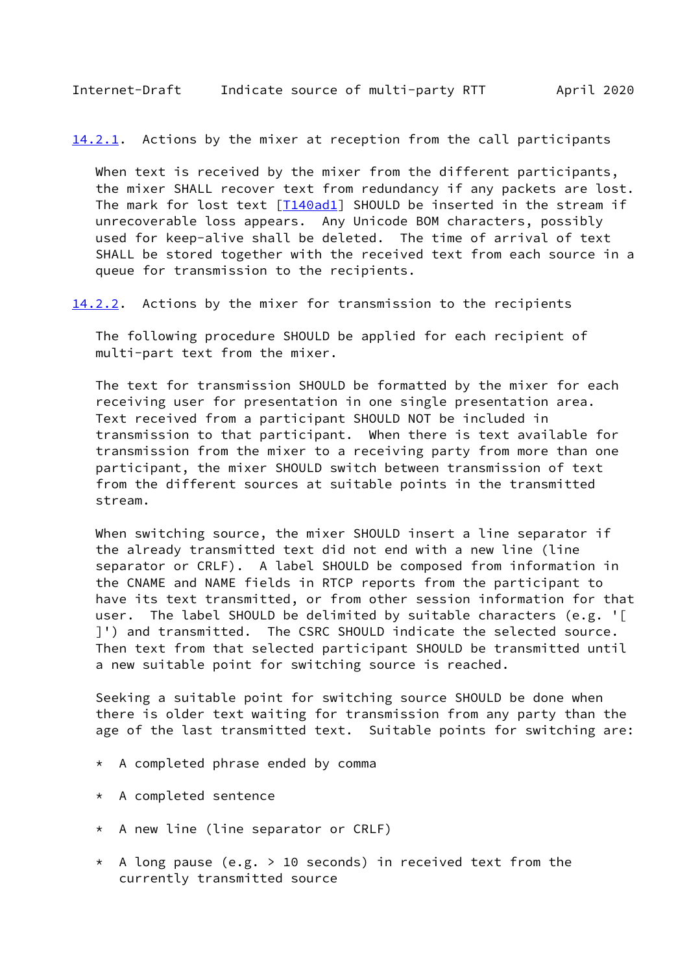<span id="page-17-0"></span>[14.2.1](#page-17-0). Actions by the mixer at reception from the call participants

When text is received by the mixer from the different participants, the mixer SHALL recover text from redundancy if any packets are lost. The mark for lost text [\[T140ad1](#page-26-2)] SHOULD be inserted in the stream if unrecoverable loss appears. Any Unicode BOM characters, possibly used for keep-alive shall be deleted. The time of arrival of text SHALL be stored together with the received text from each source in a queue for transmission to the recipients.

<span id="page-17-1"></span>[14.2.2](#page-17-1). Actions by the mixer for transmission to the recipients

 The following procedure SHOULD be applied for each recipient of multi-part text from the mixer.

 The text for transmission SHOULD be formatted by the mixer for each receiving user for presentation in one single presentation area. Text received from a participant SHOULD NOT be included in transmission to that participant. When there is text available for transmission from the mixer to a receiving party from more than one participant, the mixer SHOULD switch between transmission of text from the different sources at suitable points in the transmitted stream.

 When switching source, the mixer SHOULD insert a line separator if the already transmitted text did not end with a new line (line separator or CRLF). A label SHOULD be composed from information in the CNAME and NAME fields in RTCP reports from the participant to have its text transmitted, or from other session information for that user. The label SHOULD be delimited by suitable characters (e.g. '[ ]') and transmitted. The CSRC SHOULD indicate the selected source. Then text from that selected participant SHOULD be transmitted until a new suitable point for switching source is reached.

 Seeking a suitable point for switching source SHOULD be done when there is older text waiting for transmission from any party than the age of the last transmitted text. Suitable points for switching are:

- \* A completed phrase ended by comma
- \* A completed sentence
- \* A new line (line separator or CRLF)
- \* A long pause (e.g.  $> 10$  seconds) in received text from the currently transmitted source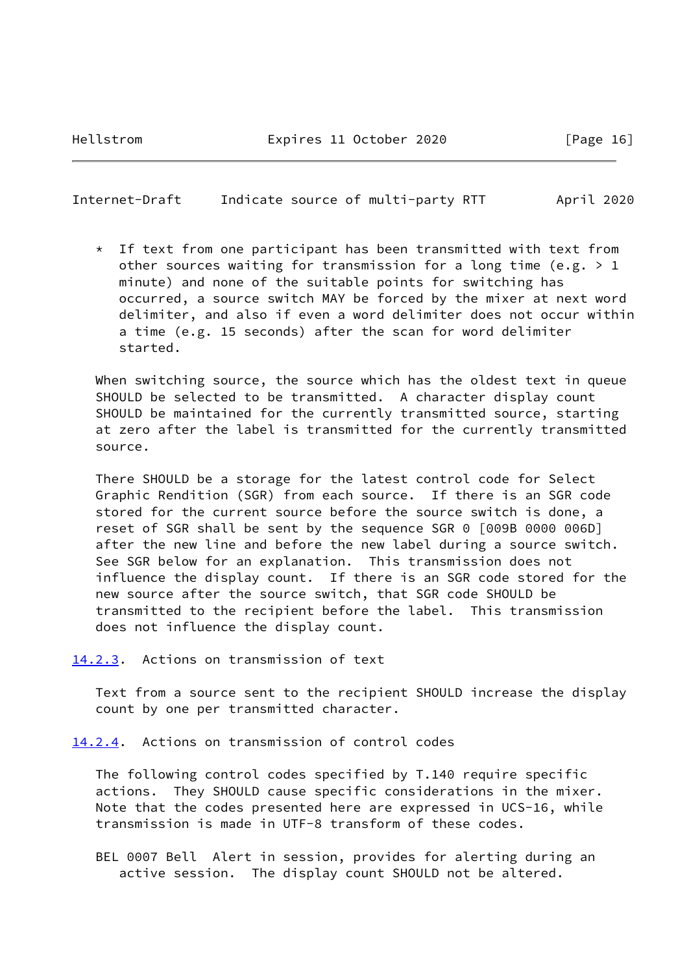$*$  If text from one participant has been transmitted with text from other sources waiting for transmission for a long time (e.g.  $> 1$  minute) and none of the suitable points for switching has occurred, a source switch MAY be forced by the mixer at next word delimiter, and also if even a word delimiter does not occur within a time (e.g. 15 seconds) after the scan for word delimiter started.

 When switching source, the source which has the oldest text in queue SHOULD be selected to be transmitted. A character display count SHOULD be maintained for the currently transmitted source, starting at zero after the label is transmitted for the currently transmitted source.

 There SHOULD be a storage for the latest control code for Select Graphic Rendition (SGR) from each source. If there is an SGR code stored for the current source before the source switch is done, a reset of SGR shall be sent by the sequence SGR 0 [009B 0000 006D] after the new line and before the new label during a source switch. See SGR below for an explanation. This transmission does not influence the display count. If there is an SGR code stored for the new source after the source switch, that SGR code SHOULD be transmitted to the recipient before the label. This transmission does not influence the display count.

<span id="page-18-0"></span>[14.2.3](#page-18-0). Actions on transmission of text

 Text from a source sent to the recipient SHOULD increase the display count by one per transmitted character.

<span id="page-18-1"></span>[14.2.4](#page-18-1). Actions on transmission of control codes

 The following control codes specified by T.140 require specific actions. They SHOULD cause specific considerations in the mixer. Note that the codes presented here are expressed in UCS-16, while transmission is made in UTF-8 transform of these codes.

 BEL 0007 Bell Alert in session, provides for alerting during an active session. The display count SHOULD not be altered.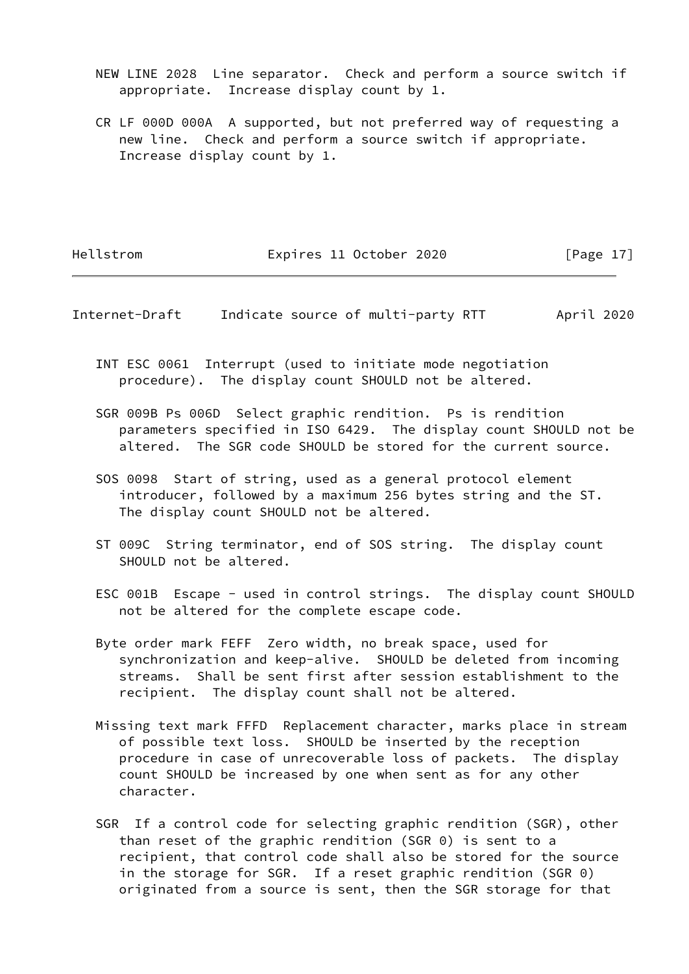- NEW LINE 2028 Line separator. Check and perform a source switch if appropriate. Increase display count by 1.
- CR LF 000D 000A A supported, but not preferred way of requesting a new line. Check and perform a source switch if appropriate. Increase display count by 1.

Hellstrom **Expires 11 October 2020** [Page 17]

- Internet-Draft Indicate source of multi-party RTT April 2020
	- INT ESC 0061 Interrupt (used to initiate mode negotiation procedure). The display count SHOULD not be altered.
	- SGR 009B Ps 006D Select graphic rendition. Ps is rendition parameters specified in ISO 6429. The display count SHOULD not be altered. The SGR code SHOULD be stored for the current source.
	- SOS 0098 Start of string, used as a general protocol element introducer, followed by a maximum 256 bytes string and the ST. The display count SHOULD not be altered.
	- ST 009C String terminator, end of SOS string. The display count SHOULD not be altered.
	- ESC 001B Escape used in control strings. The display count SHOULD not be altered for the complete escape code.
	- Byte order mark FEFF Zero width, no break space, used for synchronization and keep-alive. SHOULD be deleted from incoming streams. Shall be sent first after session establishment to the recipient. The display count shall not be altered.
	- Missing text mark FFFD Replacement character, marks place in stream of possible text loss. SHOULD be inserted by the reception procedure in case of unrecoverable loss of packets. The display count SHOULD be increased by one when sent as for any other character.
	- SGR If a control code for selecting graphic rendition (SGR), other than reset of the graphic rendition (SGR 0) is sent to a recipient, that control code shall also be stored for the source in the storage for SGR. If a reset graphic rendition (SGR 0) originated from a source is sent, then the SGR storage for that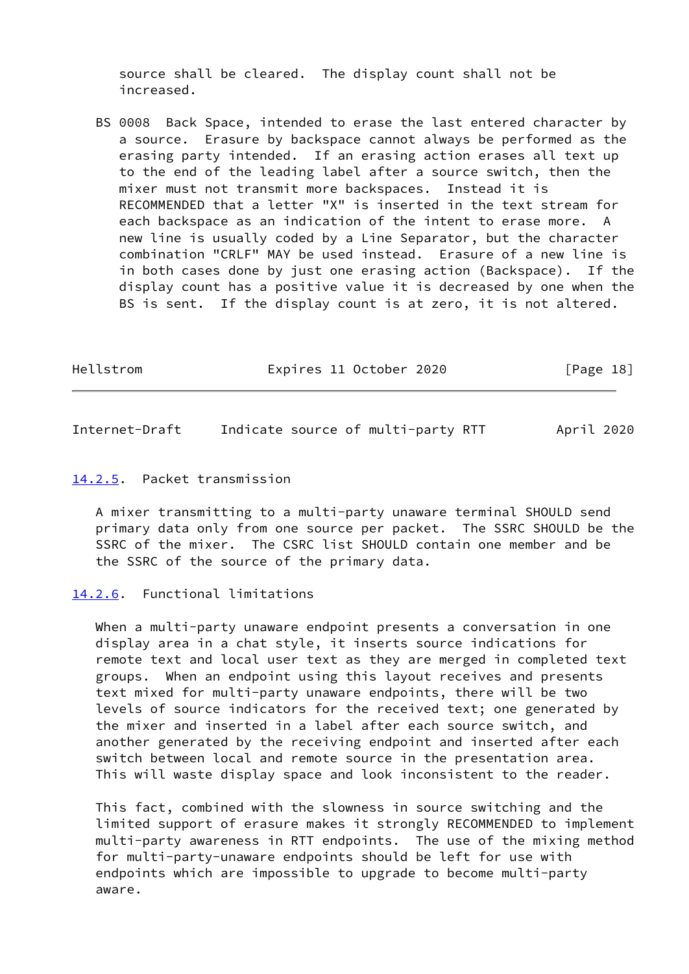source shall be cleared. The display count shall not be increased.

 BS 0008 Back Space, intended to erase the last entered character by a source. Erasure by backspace cannot always be performed as the erasing party intended. If an erasing action erases all text up to the end of the leading label after a source switch, then the mixer must not transmit more backspaces. Instead it is RECOMMENDED that a letter "X" is inserted in the text stream for each backspace as an indication of the intent to erase more. A new line is usually coded by a Line Separator, but the character combination "CRLF" MAY be used instead. Erasure of a new line is in both cases done by just one erasing action (Backspace). If the display count has a positive value it is decreased by one when the BS is sent. If the display count is at zero, it is not altered.

| Hellstrom | Expires 11 October 2020 | [Page 18] |
|-----------|-------------------------|-----------|
|           |                         |           |

Internet-Draft Indicate source of multi-party RTT April 2020

### <span id="page-20-0"></span>[14.2.5](#page-20-0). Packet transmission

 A mixer transmitting to a multi-party unaware terminal SHOULD send primary data only from one source per packet. The SSRC SHOULD be the SSRC of the mixer. The CSRC list SHOULD contain one member and be the SSRC of the source of the primary data.

# <span id="page-20-1"></span>[14.2.6](#page-20-1). Functional limitations

When a multi-party unaware endpoint presents a conversation in one display area in a chat style, it inserts source indications for remote text and local user text as they are merged in completed text groups. When an endpoint using this layout receives and presents text mixed for multi-party unaware endpoints, there will be two levels of source indicators for the received text; one generated by the mixer and inserted in a label after each source switch, and another generated by the receiving endpoint and inserted after each switch between local and remote source in the presentation area. This will waste display space and look inconsistent to the reader.

 This fact, combined with the slowness in source switching and the limited support of erasure makes it strongly RECOMMENDED to implement multi-party awareness in RTT endpoints. The use of the mixing method for multi-party-unaware endpoints should be left for use with endpoints which are impossible to upgrade to become multi-party aware.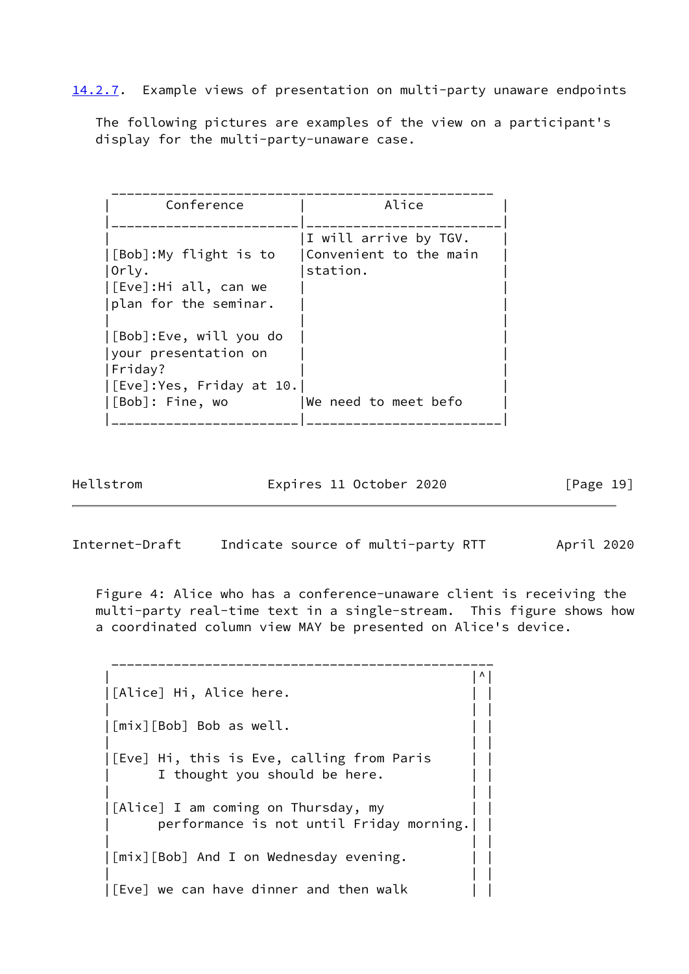<span id="page-21-1"></span>[14.2.7](#page-21-1). Example views of presentation on multi-party unaware endpoints

 The following pictures are examples of the view on a participant's display for the multi-party-unaware case.

| Conference                                                                                                   | Alice                                                       |
|--------------------------------------------------------------------------------------------------------------|-------------------------------------------------------------|
| [[Bob]:My flight is to<br> Orly.<br> [Eve]:Hi all, can we<br>plan for the seminar.                           | I will arrive by TGV.<br>Convenient to the main<br>station. |
| [Bob]:Eve, will you do<br>vour presentation on <br> Friday?<br>[[Eve]:Yes, Friday at 10.<br> [Bob]: Fine, wo | We need to meet befo                                        |

Hellstrom **Expires 11 October 2020** [Page 19]

<span id="page-21-0"></span>Internet-Draft Indicate source of multi-party RTT April 2020

 Figure 4: Alice who has a conference-unaware client is receiving the multi-party real-time text in a single-stream. This figure shows how a coordinated column view MAY be presented on Alice's device.

 | |^| |[Alice] Hi, Alice here. | | |  $|$ [mix][Bob] Bob as well. | | | |[Eve] Hi, this is Eve, calling from Paris | | I thought you should be here. | | | |[Alice] I am coming on Thursday, my | | | performance is not until Friday morning.| | | | | |[mix][Bob] And I on Wednesday evening. | | | | |  $|[Eve]$  we can have dinner and then walk

\_\_\_\_\_\_\_\_\_\_\_\_\_\_\_\_\_\_\_\_\_\_\_\_\_\_\_\_\_\_\_\_\_\_\_\_\_\_\_\_\_\_\_\_\_\_\_\_\_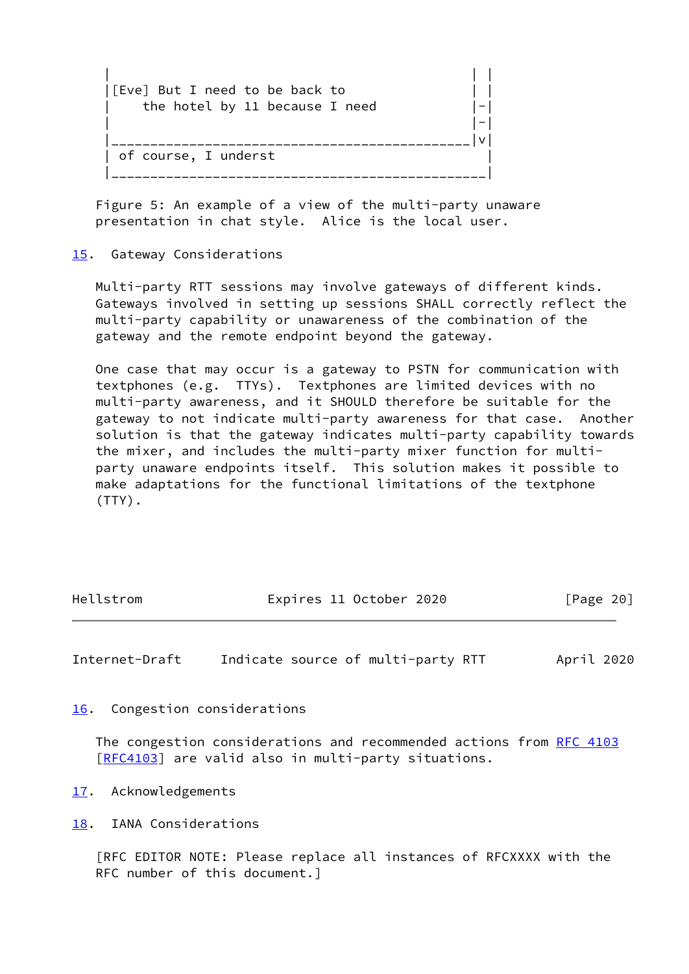| | | |[Eve] But I need to be back to | | the hotel by 11 because I need  $|-|$  | |-| |\_\_\_\_\_\_\_\_\_\_\_\_\_\_\_\_\_\_\_\_\_\_\_\_\_\_\_\_\_\_\_\_\_\_\_\_\_\_\_\_\_\_\_\_\_\_|v| | of course, I underst | |\_\_\_\_\_\_\_\_\_\_\_\_\_\_\_\_\_\_\_\_\_\_\_\_\_\_\_\_\_\_\_\_\_\_\_\_\_\_\_\_\_\_\_\_\_\_\_\_|

 Figure 5: An example of a view of the multi-party unaware presentation in chat style. Alice is the local user.

# <span id="page-22-0"></span>[15.](#page-22-0) Gateway Considerations

 Multi-party RTT sessions may involve gateways of different kinds. Gateways involved in setting up sessions SHALL correctly reflect the multi-party capability or unawareness of the combination of the gateway and the remote endpoint beyond the gateway.

 One case that may occur is a gateway to PSTN for communication with textphones (e.g. TTYs). Textphones are limited devices with no multi-party awareness, and it SHOULD therefore be suitable for the gateway to not indicate multi-party awareness for that case. Another solution is that the gateway indicates multi-party capability towards the mixer, and includes the multi-party mixer function for multi party unaware endpoints itself. This solution makes it possible to make adaptations for the functional limitations of the textphone (TTY).

| Hellstrom | Expires 11 October 2020 | [Page 20] |
|-----------|-------------------------|-----------|
|           |                         |           |

<span id="page-22-2"></span>Internet-Draft Indicate source of multi-party RTT April 2020

<span id="page-22-1"></span>[16.](#page-22-1) Congestion considerations

The congestion considerations and recommended actions from [RFC 4103](https://datatracker.ietf.org/doc/pdf/rfc4103) [\[RFC4103](https://datatracker.ietf.org/doc/pdf/rfc4103)] are valid also in multi-party situations.

<span id="page-22-3"></span>[17.](#page-22-3) Acknowledgements

<span id="page-22-4"></span>[18.](#page-22-4) IANA Considerations

 [RFC EDITOR NOTE: Please replace all instances of RFCXXXX with the RFC number of this document.]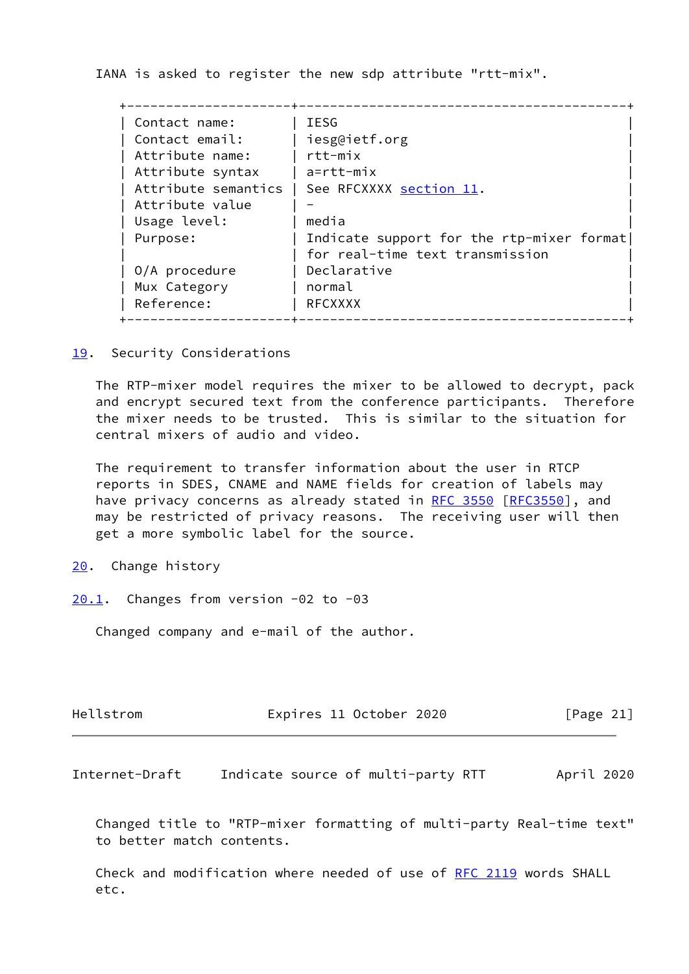IANA is asked to register the new sdp attribute "rtt-mix".

| Contact name:       | <b>IESG</b>                               |
|---------------------|-------------------------------------------|
| Contact email:      | iesg@ietf.org                             |
| Attribute name:     | rtt-mix                                   |
| Attribute syntax    | a=rtt-mix                                 |
| Attribute semantics | See RFCXXXX section 11.                   |
| Attribute value     |                                           |
| Usage level:        | media                                     |
| Purpose:            | Indicate support for the rtp-mixer format |
|                     | for real-time text transmission           |
| 0/A procedure       | Declarative                               |
| Mux Category        | normal                                    |
| Reference:          | RFCXXXX                                   |

<span id="page-23-0"></span>[19.](#page-23-0) Security Considerations

 The RTP-mixer model requires the mixer to be allowed to decrypt, pack and encrypt secured text from the conference participants. Therefore the mixer needs to be trusted. This is similar to the situation for central mixers of audio and video.

 The requirement to transfer information about the user in RTCP reports in SDES, CNAME and NAME fields for creation of labels may have privacy concerns as already stated in [RFC 3550 \[RFC3550](https://datatracker.ietf.org/doc/pdf/rfc3550)], and may be restricted of privacy reasons. The receiving user will then get a more symbolic label for the source.

- <span id="page-23-1"></span>[20.](#page-23-1) Change history
- <span id="page-23-2"></span> $20.1$ . Changes from version -02 to -03

Changed company and e-mail of the author.

| Expires 11 October 2020<br>[Page 21]<br>Hellstrom |  |
|---------------------------------------------------|--|
|---------------------------------------------------|--|

<span id="page-23-3"></span>Internet-Draft Indicate source of multi-party RTT April 2020

 Changed title to "RTP-mixer formatting of multi-party Real-time text" to better match contents.

 Check and modification where needed of use of [RFC 2119](https://datatracker.ietf.org/doc/pdf/rfc2119) words SHALL etc.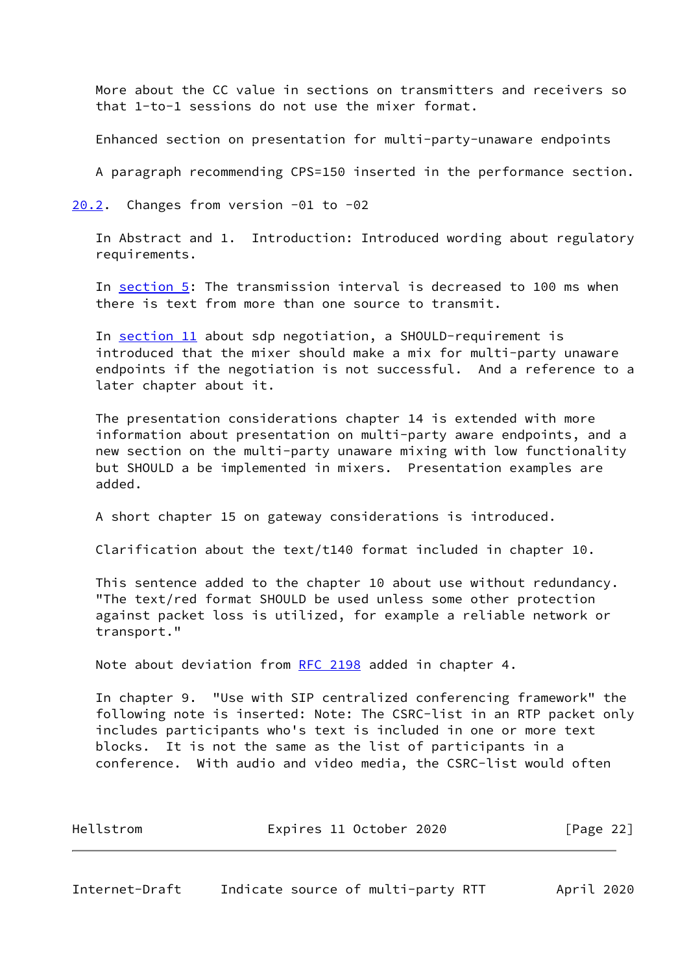More about the CC value in sections on transmitters and receivers so that 1-to-1 sessions do not use the mixer format.

Enhanced section on presentation for multi-party-unaware endpoints

A paragraph recommending CPS=150 inserted in the performance section.

<span id="page-24-0"></span>[20.2](#page-24-0). Changes from version -01 to -02

 In Abstract and 1. Introduction: Introduced wording about regulatory requirements.

 In [section 5:](#page-5-0) The transmission interval is decreased to 100 ms when there is text from more than one source to transmit.

 In [section 11](#page-9-0) about sdp negotiation, a SHOULD-requirement is introduced that the mixer should make a mix for multi-party unaware endpoints if the negotiation is not successful. And a reference to a later chapter about it.

 The presentation considerations chapter 14 is extended with more information about presentation on multi-party aware endpoints, and a new section on the multi-party unaware mixing with low functionality but SHOULD a be implemented in mixers. Presentation examples are added.

A short chapter 15 on gateway considerations is introduced.

Clarification about the text/t140 format included in chapter 10.

 This sentence added to the chapter 10 about use without redundancy. "The text/red format SHOULD be used unless some other protection against packet loss is utilized, for example a reliable network or transport."

Note about deviation from [RFC 2198](https://datatracker.ietf.org/doc/pdf/rfc2198) added in chapter 4.

 In chapter 9. "Use with SIP centralized conferencing framework" the following note is inserted: Note: The CSRC-list in an RTP packet only includes participants who's text is included in one or more text blocks. It is not the same as the list of participants in a conference. With audio and video media, the CSRC-list would often

<span id="page-24-1"></span>

| Hellstrom | Expires 11 October 2020 | [Page 22] |
|-----------|-------------------------|-----------|
|           |                         |           |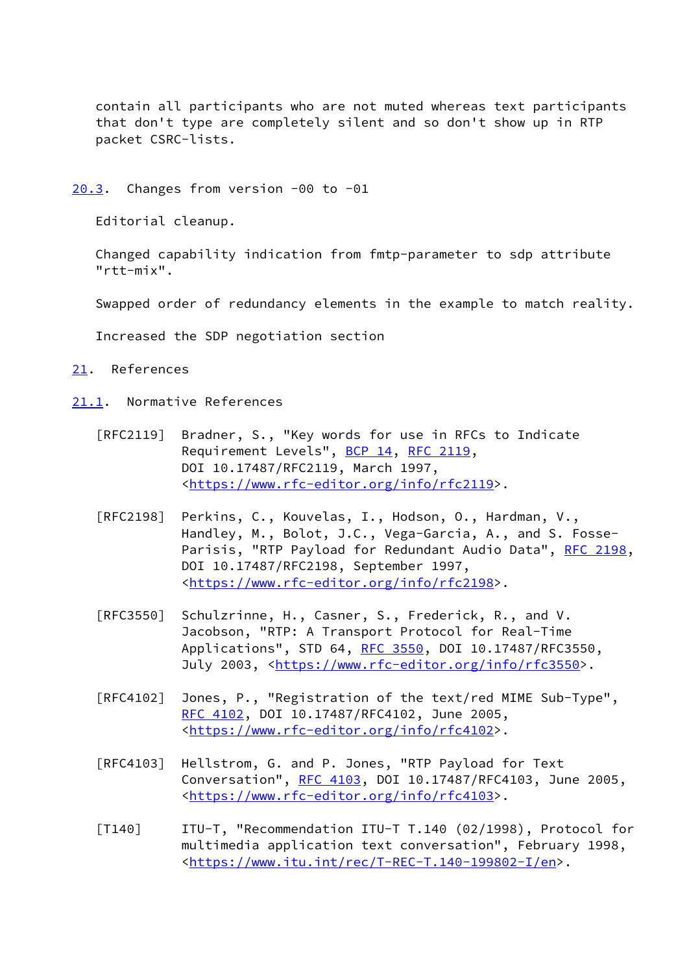contain all participants who are not muted whereas text participants that don't type are completely silent and so don't show up in RTP packet CSRC-lists.

### <span id="page-25-0"></span>[20.3](#page-25-0). Changes from version -00 to -01

Editorial cleanup.

 Changed capability indication from fmtp-parameter to sdp attribute "rtt-mix".

Swapped order of redundancy elements in the example to match reality.

Increased the SDP negotiation section

- <span id="page-25-1"></span>[21.](#page-25-1) References
- <span id="page-25-3"></span><span id="page-25-2"></span>[21.1](#page-25-2). Normative References
	- [RFC2119] Bradner, S., "Key words for use in RFCs to Indicate Requirement Levels", [BCP 14](https://datatracker.ietf.org/doc/pdf/bcp14), [RFC 2119](https://datatracker.ietf.org/doc/pdf/rfc2119), DOI 10.17487/RFC2119, March 1997, <[https://www.rfc-editor.org/info/rfc2119>](https://www.rfc-editor.org/info/rfc2119).
	- [RFC2198] Perkins, C., Kouvelas, I., Hodson, O., Hardman, V., Handley, M., Bolot, J.C., Vega-Garcia, A., and S. Fosse- Parisis, "RTP Payload for Redundant Audio Data", [RFC 2198,](https://datatracker.ietf.org/doc/pdf/rfc2198) DOI 10.17487/RFC2198, September 1997, <[https://www.rfc-editor.org/info/rfc2198>](https://www.rfc-editor.org/info/rfc2198).
	- [RFC3550] Schulzrinne, H., Casner, S., Frederick, R., and V. Jacobson, "RTP: A Transport Protocol for Real-Time Applications", STD 64, [RFC 3550](https://datatracker.ietf.org/doc/pdf/rfc3550), DOI 10.17487/RFC3550, July 2003, <<https://www.rfc-editor.org/info/rfc3550>>.
	- [RFC4102] Jones, P., "Registration of the text/red MIME Sub-Type", [RFC 4102,](https://datatracker.ietf.org/doc/pdf/rfc4102) DOI 10.17487/RFC4102, June 2005, <[https://www.rfc-editor.org/info/rfc4102>](https://www.rfc-editor.org/info/rfc4102).
	- [RFC4103] Hellstrom, G. and P. Jones, "RTP Payload for Text Conversation", [RFC 4103](https://datatracker.ietf.org/doc/pdf/rfc4103), DOI 10.17487/RFC4103, June 2005, <[https://www.rfc-editor.org/info/rfc4103>](https://www.rfc-editor.org/info/rfc4103).
	- [T140] ITU-T, "Recommendation ITU-T T.140 (02/1998), Protocol for multimedia application text conversation", February 1998, <[https://www.itu.int/rec/T-REC-T.140-199802-I/en>](https://www.itu.int/rec/T-REC-T.140-199802-I/en).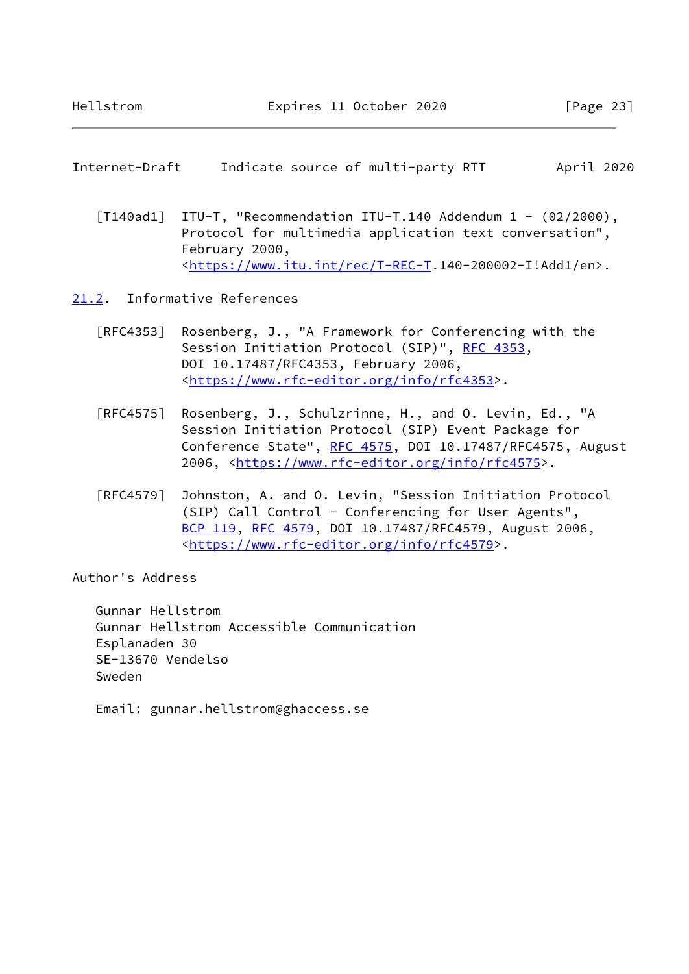<span id="page-26-1"></span>

|  | Internet-Draft |  |  |  | Indicate source of multi-party RTT |  | April 2020 |  |
|--|----------------|--|--|--|------------------------------------|--|------------|--|
|--|----------------|--|--|--|------------------------------------|--|------------|--|

<span id="page-26-2"></span> [T140ad1] ITU-T, "Recommendation ITU-T.140 Addendum 1 - (02/2000), Protocol for multimedia application text conversation", February 2000, <[https://www.itu.int/rec/T-REC-T.](https://www.itu.int/rec/T-REC-T)140-200002-I!Add1/en>.

<span id="page-26-0"></span>[21.2](#page-26-0). Informative References

- [RFC4353] Rosenberg, J., "A Framework for Conferencing with the Session Initiation Protocol (SIP)", [RFC 4353,](https://datatracker.ietf.org/doc/pdf/rfc4353) DOI 10.17487/RFC4353, February 2006, <[https://www.rfc-editor.org/info/rfc4353>](https://www.rfc-editor.org/info/rfc4353).
- [RFC4575] Rosenberg, J., Schulzrinne, H., and O. Levin, Ed., "A Session Initiation Protocol (SIP) Event Package for Conference State", [RFC 4575](https://datatracker.ietf.org/doc/pdf/rfc4575), DOI 10.17487/RFC4575, August 2006, [<https://www.rfc-editor.org/info/rfc4575](https://www.rfc-editor.org/info/rfc4575)>.
- [RFC4579] Johnston, A. and O. Levin, "Session Initiation Protocol (SIP) Call Control - Conferencing for User Agents", [BCP 119](https://datatracker.ietf.org/doc/pdf/bcp119), [RFC 4579,](https://datatracker.ietf.org/doc/pdf/rfc4579) DOI 10.17487/RFC4579, August 2006, <[https://www.rfc-editor.org/info/rfc4579>](https://www.rfc-editor.org/info/rfc4579).

Author's Address

 Gunnar Hellstrom Gunnar Hellstrom Accessible Communication Esplanaden 30 SE-13670 Vendelso Sweden

Email: gunnar.hellstrom@ghaccess.se